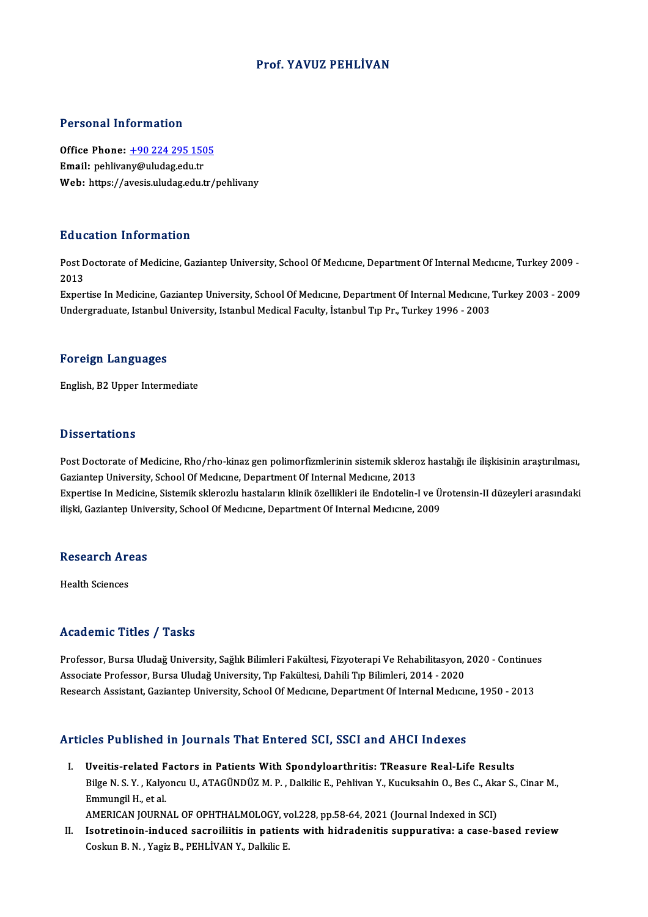### Prof. YAVUZ PEHLİVAN

#### Personal Information

Personal Information<br>Office Phone: <u>+90 224 295 1505</u><br>Email: poblivany@uludag.edu.tr Personal Information<br>Office Phone: <u>+90 224 295 150</u><br>Email: pehliva[ny@uludag.edu.tr](tel:+90 224 295 1505) Email: pehlivany@uludag.edu.tr<br>Web: https://avesis.uludag.edu.tr/pehlivany

#### Education Information

**Education Information**<br>Post Doctorate of Medicine, Gaziantep University, School Of Medıcıne, Department Of Internal Medıcıne, Turkey 2009 -<br>2013 Post D<br>Post D<br>2013<br>Evror Post Doctorate of Medicine, Gaziantep University, School Of Medicine, Department Of Internal Medicine, Turkey 2009 -<br>2013<br>Expertise In Medicine, Gaziantep University, School Of Medicine, Department Of Internal Medicine, Tu

2013<br>Expertise In Medicine, Gaziantep University, School Of Medıcıne, Department Of Internal Medıcıne, '<br>Undergraduate, Istanbul University, Istanbul Medical Faculty, İstanbul Tıp Pr., Turkey 1996 - 2003 Undergraduate, Istanbul University, Istanbul Medical Faculty, İstanbul Tıp Pr., Turkey 1996 - 2003<br>Foreign Languages

English,B2Upper Intermediate

#### **Dissertations**

Post Doctorate of Medicine, Rho/rho-kinaz gen polimorfizmlerinin sistemik skleroz hastalığı ile ilişkisinin araştırılması, Gaziantep University, School Of Medicine, Department Of Internal Medicine, 2013 Post Doctorate of Medicine, Rho/rho-kinaz gen polimorfizmlerinin sistemik skleroz hastalığı ile ilişkisinin araştırılması,<br>Gaziantep University, School Of Medicine, Department Of Internal Medicine, 2013<br>Expertise In Medici Gaziantep University, School Of Medıcıne, Department Of Internal Medıcıne, 2013<br>Expertise In Medicine, Sistemik sklerozlu hastaların klinik özellikleri ile Endotelin-I ve Ü:<br>ilişki, Gaziantep University, School Of Medıcıne

# nişki, Gaziantep Univ<br>Research Areas R<mark>esearch Ar</mark><br>Health Sciences

# Academic Titles / Tasks

Academic Titles / Tasks<br>Professor, Bursa Uludağ University, Sağlık Bilimleri Fakültesi, Fizyoterapi Ve Rehabilitasyon, 2020 - Continues<br>Assesiate Brofessor, Bursa Uludağ University, Tın Fakültesi, Dabili Tın Bilimleri, 201 Associate Articus 7 Austris<br>Professor, Bursa Uludağ University, Sağlık Bilimleri Fakültesi, Fizyoterapi Ve Rehabilitasyon, .<br>Associate Professor, Bursa Uludağ University, Tıp Fakültesi, Dahili Tıp Bilimleri, 2014 - 2020<br>Be Professor, Bursa Uludağ University, Sağlık Bilimleri Fakültesi, Fizyoterapi Ve Rehabilitasyon, 2020 - Continue<br>Associate Professor, Bursa Uludağ University, Tıp Fakültesi, Dahili Tıp Bilimleri, 2014 - 2020<br>Research Assista Research Assistant, Gaziantep University, School Of Medicine, Department Of Internal Medicine, 1950 - 2013<br>Articles Published in Journals That Entered SCI, SSCI and AHCI Indexes

rticles Published in Journals That Entered SCI, SSCI and AHCI Indexes<br>I. Uveitis-related Factors in Patients With Spondyloarthritis: TReasure Real-Life Results<br>Pilge N.S. Y. Kelvengy H. ATACÜNDÜZ M.P. Dellrije E. Bebliven Bilge N. S. Y. , Kalyoncu U., ATAGÜNDÜZ M. P. , Dalkilic E., Pehlivan Y., Kucuksahin O., Bes C., Akar S., Cinar M.,<br>Emmungil H., et al. **Uveitis-related F<br>Bilge N. S. Y. , Kalyo<br>Emmungil H., et al.<br>AMERICAN JOUPN** Bilge N. S. Y. , Kalyoncu U., ATAGÜNDÜZ M. P. , Dalkilic E., Pehlivan Y., Kucuksahin O., Bes C., Aka<br>Emmungil H., et al.<br>AMERICAN JOURNAL OF OPHTHALMOLOGY, vol.228, pp.58-64, 2021 (Journal Indexed in SCI)<br>Isatratinoin indu

II. Isotretinoin-induced sacroiliitis in patients with hidradenitis suppurativa: a case-based review Coskun B. N., Yagiz B., PEHLİVAN Y., Dalkilic E. AMERICAN JOURNAL OF OPHTHALMOLOGY, v<br>Isotretinoin-induced sacroiliitis in patien<br>Coskun B. N. , Yagiz B., PEHLİVAN Y., Dalkilic E.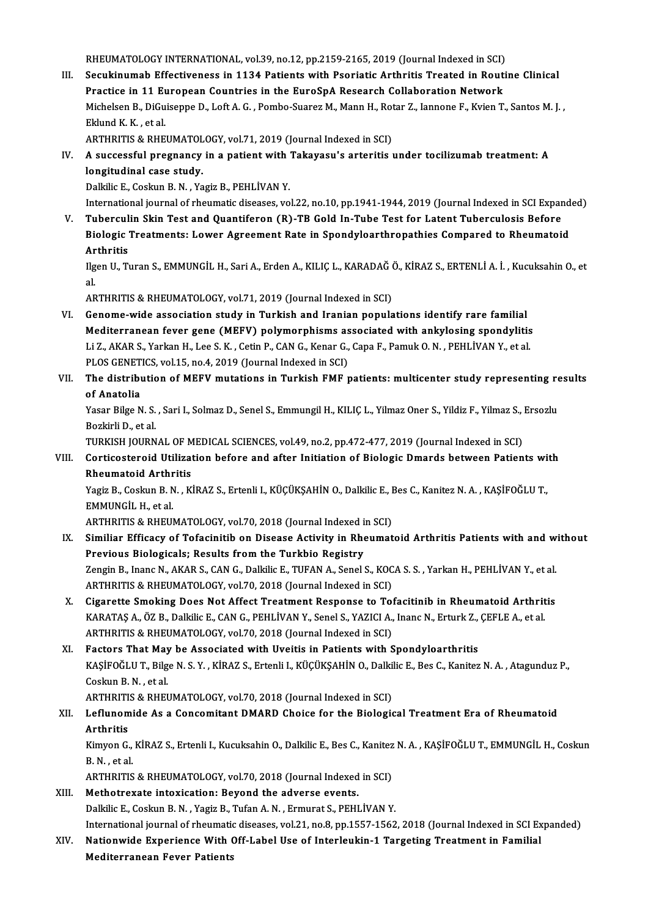RHEUMATOLOGY INTERNATIONAL, vol.39, no.12, pp.2159-2165, 2019 (Journal Indexed in SCI)<br>Sequitinumab Effectiveness in 1124 Betients with Beoriatis Arthritis Treated in Beuti

III. Secukinumab Effectiveness in 1134 Patients with Psoriatic Arthritis Treated in Routine Clinical<br>Practice in 11 European Countries in the EuroSpA Research Collaboration Network RHEUMATOLOGY INTERNATIONAL, vol.39, no.12, pp.2159-2165, 2019 (Journal Indexed in SCI)<br>Secukinumab Effectiveness in 1134 Patients with Psoriatic Arthritis Treated in Rout<br>Practice in 11 European Countries in the EuroSpA Re Secukinumab Effectiveness in 1134 Patients with Psoriatic Arthritis Treated in Routine Clinical<br>Practice in 11 European Countries in the EuroSpA Research Collaboration Network<br>Michelsen B., DiGuiseppe D., Loft A. G. , Pomb Practice in 11 Eu<br>Michelsen B., DiGu<br>Eklund K. K. , et al.<br>^PTUPITIS & PUE Michelsen B., DiGuiseppe D., Loft A. G. , Pombo-Suarez M., Mann H., Rot<br>Eklund K. K. , et al.<br>ARTHRITIS & RHEUMATOLOGY, vol.71, 2019 (Journal Indexed in SCI)<br>A sussessful prespensy in a patient with Takayasu's arteritis :

### Eklund K. K. , et al.<br>ARTHRITIS & RHEUMATOLOGY, vol.71, 2019 (Journal Indexed in SCI)<br>IV. A successful pregnancy in a patient with Takayasu's arteritis under tocilizumab treatment: A<br>longitudinal case study ARTHRITIS & RHEUMATOL<br>A successful pregnancy<br>longitudinal case study.<br>Dolkike F. Cockup B. N. . Yo A successful pregnancy in a patient with<br>longitudinal case study.<br>Dalkilic E., Coskun B. N. , Yagiz B., PEHLİVAN Y.<br>International journal of rhoumatic diseases, vo longitudinal case study.<br>Dalkilic E., Coskun B. N. , Yagiz B., PEHLİVAN Y.<br>International journal of rheumatic diseases, vol.22, no.10, pp.1941-1944, 2019 (Journal Indexed in SCI Expanded)<br>Tubergulin Skin Test and Quantifor

Dalkilic E., Coskun B. N. , Yagiz B., PEHLİVAN Y.<br>International journal of rheumatic diseases, vol.22, no.10, pp.1941-1944, 2019 (Journal Indexed in SCI Expansi<br>V. Tuberculin Skin Test and Quantiferon (R)-TB Gold In-Tube T International journal of rheumatic diseases, vol.22, no.10, pp.1941-1944, 2019 (Journal Indexed in SCI Expand<br>Tuberculin Skin Test and Quantiferon (R)-TB Gold In-Tube Test for Latent Tuberculosis Before<br>Biologic Treatments Tuberculin Skin Test and Quantiferon (R)-TB Gold In-Tube Test for Latent Tuberculosis Before<br>Biologic Treatments: Lower Agreement Rate in Spondyloarthropathies Compared to Rheumatoid<br>Arthritis Biologic Treatments: Lower Agreement Rate in Spondyloarthropathies Compared to Rheumatoid<br>Arthritis<br>Ilgen U., Turan S., EMMUNGİL H., Sari A., Erden A., KILIÇ L., KARADAĞ Ö., KİRAZ S., ERTENLİ A. İ. , Kucuksahin O., et<br>el

Ar<br>Ilg<br>al. Ilgen U., Turan S., EMMUNGİL H., Sari A., Erden A., KILIÇ L., KARADAĞ (<br>al.<br>ARTHRITIS & RHEUMATOLOGY, vol.71, 2019 (Journal Indexed in SCI)<br>Conome wide association study in Turkish and Ironian nopula al.<br>ARTHRITIS & RHEUMATOLOGY, vol.71, 2019 (Journal Indexed in SCI)<br>VI. Genome-wide association study in Turkish and Iranian populations identify rare familial

ARTHRITIS & RHEUMATOLOGY, vol.71, 2019 (Journal Indexed in SCI)<br>Genome-wide association study in Turkish and Iranian populations identify rare familial<br>Mediterranean fever gene (MEFV) polymorphisms associated with ankylosi Genome-wide association study in Turkish and Iranian populations identify rare familial<br>Mediterranean fever gene (MEFV) polymorphisms associated with ankylosing spondylitis<br>Li Z., AKAR S., Yarkan H., Lee S. K. , Cetin P., Mediterranean fever gene (MEFV) polymorphisms as<br>Li Z., AKAR S., Yarkan H., Lee S. K. , Cetin P., CAN G., Kenar G.,<br>PLOS GENETICS, vol.15, no.4, 2019 (Journal Indexed in SCI)<br>The distribution of MEEV mutations in Turkish E Li Z., AKAR S., Yarkan H., Lee S. K. , Cetin P., CAN G., Kenar G., Capa F., Pamuk O. N. , PEHLİVAN Y., et al.<br>PLOS GENETICS, vol.15, no.4, 2019 (Journal Indexed in SCI)<br>VII. The distribution of MEFV mutations in Turkish FM PLOS GENETICS, vol.15, no.4, 2019 (Journal Indexed in SCI)

# The distribution of MEFV mutations in Turkish FMF patients: multicenter study representing re<br>of Anatolia<br>Yasar Bilge N. S. , Sari I., Solmaz D., Senel S., Emmungil H., KILIÇ L., Yilmaz Oner S., Yildiz F., Yilmaz S., Ersoz

of <mark>Anatolia</mark><br>Yasar Bilge N. S.<br>Bozkirli D., et al.<br>TURKISH JOURN Yasar Bilge N. S. , Sari I., Solmaz D., Senel S., Emmungil H., KILIÇ L., Yilmaz Oner S., Yildiz F., Yilmaz S.,<br>Bozkirli D., et al.<br>TURKISH JOURNAL OF MEDICAL SCIENCES, vol.49, no.2, pp.472-477, 2019 (Journal Indexed in SCI

### Bozkirli D., et al.<br>TURKISH JOURNAL OF MEDICAL SCIENCES, vol.49, no.2, pp.472-477, 2019 (Journal Indexed in SCI)<br>VIII. Corticosteroid Utilization before and after Initiation of Biologic Dmards between Patients with<br>Rhoumat TURKISH JOURNAL OF MEDICAL SCIENCES, vol.49, no.2, pp.472-477, 2019 (Journal Indexed in SCI)<br>Corticosteroid Utilization before and after Initiation of Biologic Dmards between Patien<br>Rheumatoid Arthritis Corticosteroid Utilization before and after Initiation of Biologic Dmards between Patients wi<br>Rheumatoid Arthritis<br>Yagiz B., Coskun B. N. , KİRAZ S., Ertenli I., KÜÇÜKŞAHİN O., Dalkilic E., Bes C., Kanitez N. A. , KAŞİFOĞL

Rheumatoid Arthr<br>Yagiz B., Coskun B. N<br>EMMUNGİL H., et al.<br>APTUPITIS & PUFUL Yagiz B., Coskun B. N. , KİRAZ S., Ertenli I., KÜÇÜKŞAHİN O., Dalkilic E., I<br>EMMUNGİL H., et al.<br>ARTHRITIS & RHEUMATOLOGY, vol.70, 2018 (Journal Indexed in SCI)<br>Similiar Efficacu of Tofocinitib on Disease Activity in Phoum

ARTHRITIS & RHEUMATOLOGY, vol.70, 2018 (Journal Indexed in SCI)

EMMUNGİL H., et al.<br>ARTHRITIS & RHEUMATOLOGY, vol.70, 2018 (Journal Indexed in SCI)<br>IX. Similiar Efficacy of Tofacinitib on Disease Activity in Rheumatoid Arthritis Patients with and without<br>Previous Biologicals; Results f Similiar Efficacy of Tofacinitib on Disease Activity in Rheumatoid Arthritis Patients with and w<br>Previous Biologicals; Results from the Turkbio Registry<br>Zengin B., Inanc N., AKAR S., CAN G., Dalkilic E., TUFAN A., Senel S. Previous Biologicals; Results from the Turkbio Registry<br>Zengin B., Inanc N., AKAR S., CAN G., Dalkilic E., TUFAN A., Senel S., KOC<br>ARTHRITIS & RHEUMATOLOGY, vol.70, 2018 (Journal Indexed in SCI)<br>Sisanette Smakins Daes Net

Zengin B., Inanc N., AKAR S., CAN G., Dalkilic E., TUFAN A., Senel S., KOCA S. S. , Yarkan H., PEHLİVAN Y., et al.<br>ARTHRITIS & RHEUMATOLOGY, vol.70, 2018 (Journal Indexed in SCI)<br>X. Cigarette Smoking Does Not Affect Treatm ARTHRITIS & RHEUMATOLOGY, vol.70, 2018 (Journal Indexed in SCI)<br>Cigarette Smoking Does Not Affect Treatment Response to Tofacitinib in Rheumatoid Arthrit<br>KARATAŞ A., ÖZ B., Dalkilic E., CAN G., PEHLİVAN Y., Senel S., YAZIC Cigarette Smoking Does Not Affect Treatment Response to To<br>KARATAŞ A., ÖZ B., Dalkilic E., CAN G., PEHLİVAN Y., Senel S., YAZICI A.,<br>ARTHRITIS & RHEUMATOLOGY, vol.70, 2018 (Journal Indexed in SCI)<br>Factors That May be Assoc

### KARATAŞ A., ÖZ B., Dalkilic E., CAN G., PEHLİVAN Y., Senel S., YAZICI A., Inanc N., Erturk Z.,<br>ARTHRITIS & RHEUMATOLOGY, vol.70, 2018 (Journal Indexed in SCI)<br>XI. Factors That May be Associated with Uveitis in Patients wit ARTHRITIS & RHEUMATOLOGY, vol.70, 2018 (Journal Indexed in SCI)<br>Factors That May be Associated with Uveitis in Patients with Spondyloarthritis<br>KAŞİFOĞLU T., Bilge N. S. Y. , KİRAZ S., Ertenli I., KÜÇÜKŞAHİN O., Dalkilic E. **Factors That May<br>KAŞİFOĞLU T., Bilg.<br>Coskun B. N. , et al.<br>APTUPITIS & PUFI** KAŞİFOĞLU T., Bilge N. S. Y. , KİRAZ S., Ertenli I., KÜÇÜKŞAHİN O., Dalki<br>Coskun B. N. , et al.<br>ARTHRITIS & RHEUMATOLOGY, vol.70, 2018 (Journal Indexed in SCI)<br>Leflunamida As a Cansamitant DMARD Chaise far the Bialasis

### Coskun B. N. , et al.<br>ARTHRITIS & RHEUMATOLOGY, vol.70, 2018 (Journal Indexed in SCI)<br>XII. Leflunomide As a Concomitant DMARD Choice for the Biological Treatment Era of Rheumatoid<br>Arthritic ARTHRITI<br><mark>Leflunom</mark><br>Arthritis<br><sup>Kimuon C</sup> Leflunomide As a Concomitant DMARD Choice for the Biological Treatment Era of Rheumatoid<br>Arthritis<br>Kimyon G., KİRAZ S., Ertenli I., Kucuksahin O., Dalkilic E., Bes C., Kanitez N. A. , KAŞİFOĞLU T., EMMUNGİL H., Coskun<br>B. N

**Arthritis<br>Kimyon G.,<br>B. N. , et al.<br>APTUPITIS** Kimyon G., KİRAZ S., Ertenli I., Kucuksahin O., Dalkilic E., Bes C., Kanitez<br>B. N. , et al.<br>ARTHRITIS & RHEUMATOLOGY, vol.70, 2018 (Journal Indexed in SCI)<br>Mathetrovate inteviestion: Beyond the adverse events

B. N. , et al.<br>ARTHRITIS & RHEUMATOLOGY, vol.70, 2018 (Journal Indexed in SCI)<br>XIII. Methotrexate intoxication: Beyond the adverse events.

### Dalkilic E., Coskun B. N., Yagiz B., Tufan A. N., Ermurat S., PEHLİVAN Y. International journal of rheumatic diseases, vol.21, no.8, pp.1557-1562, 2018 (Journal Indexed in SCI Expanded) Dalkilic E., Coskun B. N. , Yagiz B., Tufan A. N. , Ermurat S., PEHLİVAN Y.<br>International journal of rheumatic diseases, vol.21, no.8, pp.1557-1562, 2018 (Journal Indexed in SCI Ex<br>XIV. Nationwide Experience With Off-Label

International journal of rheumati<br>Nationwide Experience With (<br>Mediterranean Fever Patients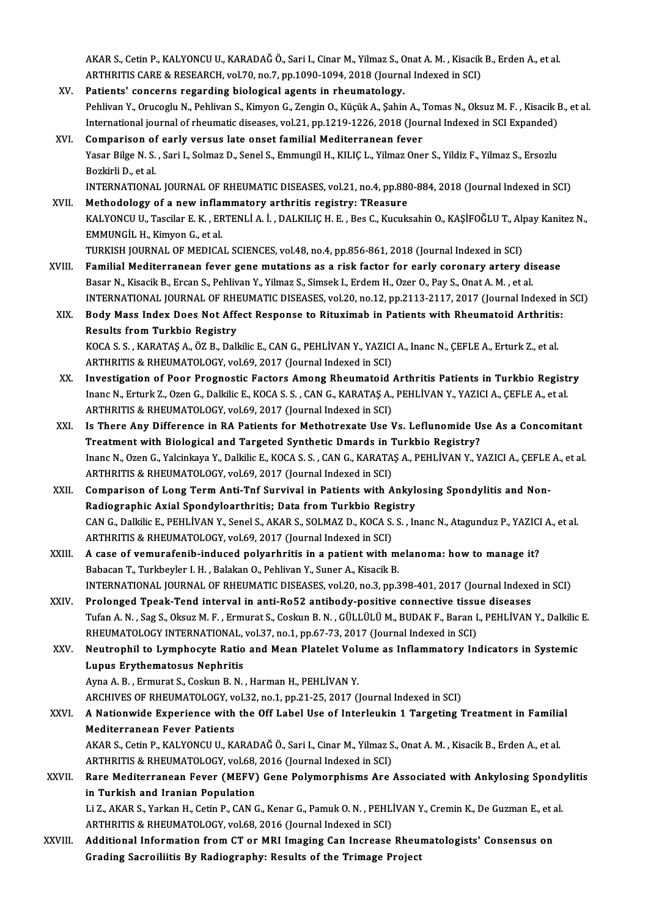AKAR S., Cetin P., KALYONCU U., KARADAĞ Ö., Sari I., Cinar M., Yilmaz S., Onat A. M. , Kisacik B., Erden A., et al.<br>APTURITIS CARE & RESEARCH, vel 70, p.o. 7, p.p.1090, 1094, 2018 (Journal Indoved in SCI). AKAR S., Cetin P., KALYONCU U., KARADAĞ Ö., Sari I., Cinar M., Yilmaz S., Onat A. M. , Kisacik<br>ARTHRITIS CARE & RESEARCH, vol.70, no.7, pp.1090-1094, 2018 (Journal Indexed in SCI)<br>Patiante' sensenna resending biologisel ag AKAR S., Cetin P., KALYONCU U., KARADAĞ Ö., Sari I., Cinar M., Yilmaz S., C<br>ARTHRITIS CARE & RESEARCH, vol.70, no.7, pp.1090-1094, 2018 (Journa<br>XV. Patients' concerns regarding biological agents in rheumatology.<br>Reblium Y.

- ARTHRITIS CARE & RESEARCH, vol.70, no.7, pp.1090-1094, 2018 (Journal Indexed in SCI)<br>P<mark>atients' concerns regarding biological agents in rheumatology.</mark><br>Pehlivan Y., Orucoglu N., Pehlivan S., Kimyon G., Zengin O., Küçük A., Patients' concerns regarding biological agents in rheumatology.<br>Pehlivan Y., Orucoglu N., Pehlivan S., Kimyon G., Zengin O., Küçük A., Şahin A., Tomas N., Oksuz M. F. , Kisacik I<br>International journal of rheumatic diseases International journal of rheumatic diseases, vol.21, pp.1219-1226, 2018 (Journal Indexed in SCI Expanded)<br>XVI. Comparison of early versus late onset familial Mediterranean fever
- International journal of rheumatic diseases, vol.21, pp.1219-1226, 2018 (Journal Indexed in SCI Expanded)<br>Comparison of early versus late onset familial Mediterranean fever<br>Yasar Bilge N. S. , Sari I., Solmaz D., Senel S., Comparison of<br>Yasar Bilge N. S.<br>Bozkirli D., et al.<br>INTERNATIONA Bozkirli D., et al.<br>INTERNATIONAL JOURNAL OF RHEUMATIC DISEASES, vol.21, no.4, pp.880-884, 2018 (Journal Indexed in SCI)

- XVII. Methodology of a new inflammatory arthritis registry: TReasure INTERNATIONAL JOURNAL OF RHEUMATIC DISEASES, vol.21, no.4, pp.880-884, 2018 (Journal Indexed in SCI)<br>Methodology of a new inflammatory arthritis registry: TReasure<br>KALYONCU U., Tascilar E. K. , ERTENLİ A. İ. , DALKILIÇ H. EMMUNGİL H., Kimyon G., et al.<br>TURKISH JOURNAL OF MEDICAL SCIENCES, vol.48, no.4, pp.856-861, 2018 (Journal Indexed in SCI) KALYONCU U., Tascilar E. K. , ERTENLİ A. İ. , DALKILIÇ H. E. , Bes C., Kucuksahin O., KAŞİFOĞLU T., Alı<br>EMMUNGİL H., Kimyon G., et al.<br>TURKISH JOURNAL OF MEDICAL SCIENCES, vol.48, no.4, pp.856-861, 2018 (Journal Indexed in
- XVIII. Familial Mediterranean fever gene mutations as a risk factor for early coronary artery disease Basar N., Kisacik B., Ercan S., Pehlivan Y., Yilmaz S., Simsek I., Erdem H., Ozer O., Pay S., Onat A. M. , et al. Familial Mediterranean fever gene mutations as a risk factor for early coronary artery disease<br>Basar N., Kisacik B., Ercan S., Pehlivan Y., Yilmaz S., Simsek I., Erdem H., Ozer O., Pay S., Onat A. M. , et al.<br>INTERNATIONAL Basar N., Kisacik B., Ercan S., Pehlivan Y., Yilmaz S., Simsek I., Erdem H., Ozer O., Pay S., Onat A. M. , et al.<br>INTERNATIONAL JOURNAL OF RHEUMATIC DISEASES, vol.20, no.12, pp.2113-2117, 2017 (Journal Indexed in<br>XIX. Body
	- INTERNATIONAL JOURNAL OF RHI<br>Body Mass Index Does Not Aff<br>Results from Turkbio Registry<br>KOCA S.S. KARATAS A. ÖZ P. Dall Body Mass Index Does Not Affect Response to Rituximab in Patients with Rheumatoid Arthritis:<br>Results from Turkbio Registry<br>KOCA S. S., KARATAŞ A., ÖZ B., Dalkilic E., CAN G., PEHLİVAN Y., YAZICI A., Inanc N., ÇEFLE A., Ert Results from Turkbio Registry<br>KOCA S. S. , KARATAŞ A., ÖZ B., Dalkilic E., CAN G., PEHLİVAN Y., YAZICI<br>ARTHRITIS & RHEUMATOLOGY, vol.69, 2017 (Journal Indexed in SCI)<br>Investigation of Boor Brognestic Festers Ameng Pheumate KOCA S. S., KARATAŞ A., ÖZ B., Dalkilic E., CAN G., PEHLİVAN Y., YAZICI A., Inanc N., ÇEFLE A., Erturk Z., et al.<br>ARTHRITIS & RHEUMATOLOGY, vol.69, 2017 (Journal Indexed in SCI)<br>XX. Investigation of Poor Prognostic Factors
	- Investigation of Poor Prognostic Factors Among Rheumatoid Arthritis Patients in Turkbio Registry Inanc N., Erturk Z., Ozen G., Dalkilic E., KOCA S. S., CAN G., KARATAŞ A., PEHLİVAN Y., YAZICI A., ÇEFLE A., et al. ARTHRITIS & RHEUMATOLOGY, vol.69, 2017 (Journal Indexed in SCI) Inanc N., Erturk Z., Ozen G., Dalkilic E., KOCA S. S. , CAN G., KARATAŞ A., PEHLİVAN Y., YAZICI A., ÇEFLE A., et al.<br>ARTHRITIS & RHEUMATOLOGY, vol.69, 2017 (Journal Indexed in SCI)<br>XXI. Is There Any Difference in RA Patien
	- ARTHRITIS & RHEUMATOLOGY, vol.69, 2017 (Journal Indexed in SCI)<br>Is There Any Difference in RA Patients for Methotrexate Use Vs. Leflunomide U.<br>Treatment with Biological and Targeted Synthetic Dmards in Turkbio Registry?<br>In Is There Any Difference in RA Patients for Methotrexate Use Vs. Leflunomide Use As a Concomitant<br>Treatment with Biological and Targeted Synthetic Dmards in Turkbio Registry?<br>Inanc N., Ozen G., Yalcinkaya Y., Dalkilic E., K Treatment with Biological and Targeted Synthetic Dmards in Turkbio Registry?<br>Inanc N., Ozen G., Yalcinkaya Y., Dalkilic E., KOCA S. S. , CAN G., KARATAŞ A., PEHLİVAN Y., YAZICI A., ÇEFLE A., et al.<br>ARTHRITIS & RHEUMATOLOGY
- XXII. Comparison of Long Term Anti-Tnf Survival in Patients with Ankylosing Spondylitis and Non-ARTHRITIS & RHEUMATOLOGY, vol.69, 2017 (Journal Indexed in SCI)<br>Comparison of Long Term Anti-Tnf Survival in Patients with Ankyle<br>Radiographic Axial Spondyloarthritis; Data from Turkbio Registry<br>CAN.C. Dalkija E. BEHLİVAN CAN G., Dalkilic E., PEHLİVAN Y., Senel S., AKAR S., SOLMAZ D., KOCA S. S. , Inanc N., Atagunduz P., YAZICI A., et al.<br>ARTHRITIS & RHEUMATOLOGY, vol.69, 2017 (Journal Indexed in SCI) Radiographic Axial Spondyloarthritis; Data from Turkbio Regi<br>CAN G., Dalkilic E., PEHLİVAN Y., Senel S., AKAR S., SOLMAZ D., KOCA S.<br>ARTHRITIS & RHEUMATOLOGY, vol.69, 2017 (Journal Indexed in SCI)<br>A sase of vomunafonih ind CAN G., Dalkilic E., PEHLİVAN Y., Senel S., AKAR S., SOLMAZ D., KOCA S. S. , Inanc N., Atagunduz P., YAZICI<br>ARTHRITIS & RHEUMATOLOGY, vol.69, 2017 (Journal Indexed in SCI)<br>XXIII. A case of vemurafenib-induced polyarhritis
- ARTHRITIS & RHEUMATOLOGY, vol.69, 2017 (Journal Indexed in SCI)<br>A case of vemurafenib-induced polyarhritis in a patient with m<br>Babacan T., Turkbeyler I. H. , Balakan O., Pehlivan Y., Suner A., Kisacik B.<br>INTERNATIONAL JOUR A case of vemurafenib-induced polyarhritis in a patient with melanoma: how to manage it?<br>Babacan T., Turkbeyler I. H. , Balakan O., Pehlivan Y., Suner A., Kisacik B.<br>INTERNATIONAL JOURNAL OF RHEUMATIC DISEASES, vol.20, no. Babacan T., Turkbeyler I. H., Balakan O., Pehlivan Y., Suner A., Kisacik B.<br>INTERNATIONAL JOURNAL OF RHEUMATIC DISEASES, vol.20, no.3, pp.398-401, 2017 (Journal Indexe<br>XXIV. Prolonged Tpeak-Tend interval in anti-Ro52 antib
- INTERNATIONAL JOURNAL OF RHEUMATIC DISEASES, vol.20, no.3, pp.398-401, 2017 (Journal Indexed in SCI)<br>Prolonged Tpeak-Tend interval in anti-Ro52 antibody-positive connective tissue diseases<br>Tufan A.N., Sag S., Oksuz M. F., Prolonged Tpeak-Tend interval in anti-Ro52 antibody-positive connective tissue diseases<br>Tufan A. N. , Sag S., Oksuz M. F. , Ermurat S., Coskun B. N. , GÜLLÜLÜ M., BUDAK F., Baran I., PEHLİVAN Y., Dalkilic E.<br>RHEUMATOLOGY I Tufan A. N. , Sag S., Oksuz M. F. , Ermurat S., Coskun B. N. , GÜLLÜLÜ M., BUDAK F., Baran I., PEHLİVAN Y., Dalkilic<br>RHEUMATOLOGY INTERNATIONAL, vol.37, no.1, pp.67-73, 2017 (Journal Indexed in SCI)<br>XXV. Neutrophil to

RHEUMATOLOGY INTERNATIONAL,<br>Neutrophil to Lymphocyte Ratio<br>Lupus Erythematosus Nephritis<br>Auna A B - Ermurat S. Cockup B N Neutrophil to Lymphocyte Ratio and Mean Platelet Volutions<br>Lupus Erythematosus Nephritis<br>Ayna A. B., Ermurat S., Coskun B. N., Harman H., PEHLİVAN Y.<br>ARCHIVES OF PHEIMATOLOCY vol 32. no 1. np 31. 35. 3017 () Lupus Erythematosus Nephritis<br>Ayna A. B. , Ermurat S., Coskun B. N. , Harman H., PEHLİVAN Y.<br>ARCHIVES OF RHEUMATOLOGY, vol.32, no.1, pp.21-25, 2017 (Journal Indexed in SCI)<br>A Nationwide Experience with the Off Lebel Hee of

Ayna A. B. , Ermurat S., Coskun B. N. , Harman H., PEHLİVAN Y.<br>ARCHIVES OF RHEUMATOLOGY, vol.32, no.1, pp.21-25, 2017 (Journal Indexed in SCI)<br>XXVI. A Nationwide Experience with the Off Label Use of Interleukin 1 Targe ARCHIVES OF RHEUMATOLOGY, vo<br>A Nationwide Experience with<br>Mediterranean Fever Patients<br>AKAB S. Cotin B. KAI VONCU U. KA A Nationwide Experience with the Off Label Use of Interleukin 1 Targeting Treatment in Familia<br>Mediterranean Fever Patients<br>AKAR S., Cetin P., KALYONCU U., KARADAĞ Ö., Sari I., Cinar M., Yilmaz S., Onat A. M. , Kisacik B.,

Mediterranean Fever Patients<br>AKAR S., Cetin P., KALYONCU U., KARADAĞ Ö., Sari I., Cinar M., Yilmaz S., Onat A. M. , Kisacik B., Erden A., et al. ARTHRITIS & RHEUMATOLOGY, vol.68, 2016 (Journal Indexed in SCI)

XXVII. Rare Mediterranean Fever (MEFV) Gene Polymorphisms Are Associated with Ankylosing Spondylitis<br>in Turkish and Iranian Population Rare Mediterranean Fever (MEFV) Gene Polymorphisms Are Associated with Ankylosing Spond<br>in Turkish and Iranian Population<br>Li Z., AKAR S., Yarkan H., Cetin P., CAN G., Kenar G., Pamuk O. N. , PEHLİVAN Y., Cremin K., De Guzm

in Turkish and Iranian Population<br>Li Z., AKAR S., Yarkan H., Cetin P., CAN G., Kenar G., Pamuk O. N. , PEHLİ<br>ARTHRITIS & RHEUMATOLOGY, vol.68, 2016 (Journal Indexed in SCI)<br>Additional Information from CT or MPI Imaging Con ARTHRITIS & RHEUMATOLOGY, vol.68, 2016 (Journal Indexed in SCI)<br>XXVIII. Additional Information from CT or MRI Imaging Can Increase Rheumatologists' Consensus on

Grading Sacroiliitis By Radiography: Results of the Trimage Project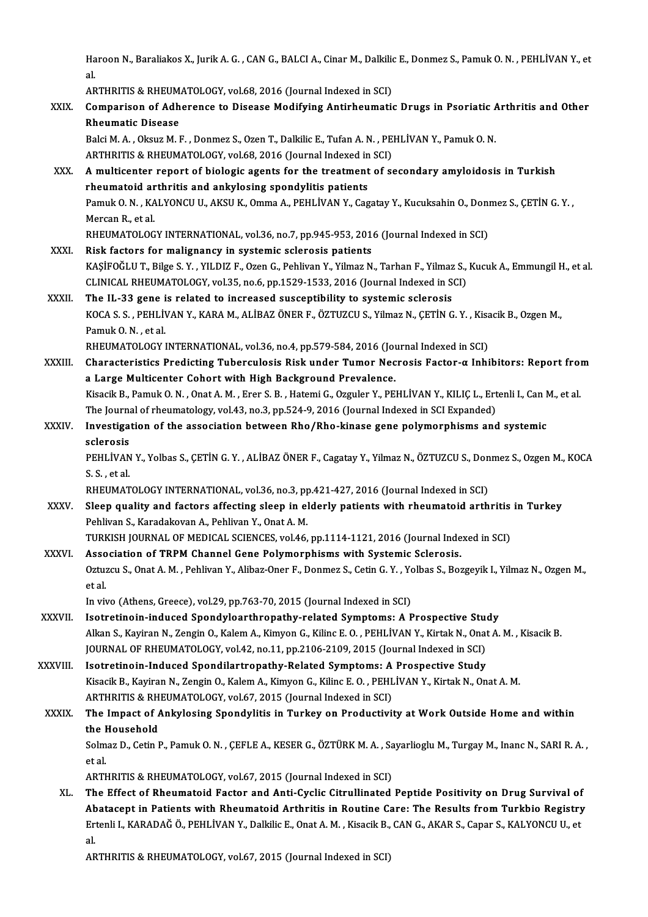Haroon N., Baraliakos X., Jurik A. G. , CAN G., BALCI A., Cinar M., Dalkilic E., Donmez S., Pamuk O. N. , PEHLİVAN Y., et<br>cl Ha<br>al.<br>^P Haroon N., Baraliakos X., Jurik A. G. , CAN G., BALCI A., Cinar M., Dalkilional.<br>al.<br>ARTHRITIS & RHEUMATOLOGY, vol.68, 2016 (Journal Indexed in SCI)<br>Componison of Adharones to Disease Modifying Antipheumetic

|              | al.                                                                                                                                                       |
|--------------|-----------------------------------------------------------------------------------------------------------------------------------------------------------|
|              | ARTHRITIS & RHEUMATOLOGY, vol.68, 2016 (Journal Indexed in SCI)                                                                                           |
| XXIX.        | Comparison of Adherence to Disease Modifying Antirheumatic Drugs in Psoriatic Arthritis and Other<br><b>Rheumatic Disease</b>                             |
|              | Balci M. A., Oksuz M. F., Donmez S., Ozen T., Dalkilic E., Tufan A. N., PEHLİVAN Y., Pamuk O. N.                                                          |
|              | ARTHRITIS & RHEUMATOLOGY, vol.68, 2016 (Journal Indexed in SCI)                                                                                           |
| XXX.         | A multicenter report of biologic agents for the treatment of secondary amyloidosis in Turkish                                                             |
|              | rheumatoid arthritis and ankylosing spondylitis patients                                                                                                  |
|              | Pamuk O. N., KALYONCU U., AKSU K., Omma A., PEHLIVAN Y., Cagatay Y., Kucuksahin O., Donmez S., ÇETİN G. Y.,                                               |
|              | Mercan R., et al.                                                                                                                                         |
|              | RHEUMATOLOGY INTERNATIONAL, vol.36, no.7, pp.945-953, 2016 (Journal Indexed in SCI)                                                                       |
| XXXI.        | Risk factors for malignancy in systemic sclerosis patients                                                                                                |
|              | KAŞİFOĞLU T., Bilge S.Y., YILDIZ F., Ozen G., Pehlivan Y., Yilmaz N., Tarhan F., Yilmaz S., Kucuk A., Emmungil H., et al.                                 |
|              | CLINICAL RHEUMATOLOGY, vol.35, no.6, pp.1529-1533, 2016 (Journal Indexed in SCI)                                                                          |
| <b>XXXII</b> | The IL-33 gene is related to increased susceptibility to systemic sclerosis                                                                               |
|              | KOCA S. S., PEHLİVAN Y., KARA M., ALİBAZ ÖNER F., ÖZTUZCU S., Yilmaz N., ÇETİN G. Y., Kisacik B., Ozgen M.,                                               |
|              | Pamuk O N, et al.                                                                                                                                         |
|              | RHEUMATOLOGY INTERNATIONAL, vol.36, no.4, pp.579-584, 2016 (Journal Indexed in SCI)                                                                       |
| XXXIII.      | Characteristics Predicting Tuberculosis Risk under Tumor Necrosis Factor-a Inhibitors: Report from                                                        |
|              | a Large Multicenter Cohort with High Background Prevalence.                                                                                               |
|              | Kisacik B., Pamuk O. N., Onat A. M., Erer S. B., Hatemi G., Ozguler Y., PEHLİVAN Y., KILIÇ L., Ertenli I., Can M., et al.                                 |
|              | The Journal of rheumatology, vol.43, no.3, pp.524-9, 2016 (Journal Indexed in SCI Expanded)                                                               |
| <b>XXXIV</b> | Investigation of the association between Rho/Rho-kinase gene polymorphisms and systemic                                                                   |
|              | sclerosis                                                                                                                                                 |
|              | PEHLIVAN Y., Yolbas S., ÇETİN G. Y., ALİBAZ ÖNER F., Cagatay Y., Yilmaz N., ÖZTUZCU S., Donmez S., Ozgen M., KOCA                                         |
|              | S.S., et al.                                                                                                                                              |
|              | RHEUMATOLOGY INTERNATIONAL, vol.36, no.3, pp.421-427, 2016 (Journal Indexed in SCI)                                                                       |
| <b>XXXV</b>  | Sleep quality and factors affecting sleep in elderly patients with rheumatoid arthritis in Turkey<br>Pehlivan S., Karadakovan A., Pehlivan Y., Onat A. M. |
|              | TURKISH JOURNAL OF MEDICAL SCIENCES, vol.46, pp.1114-1121, 2016 (Journal Indexed in SCI)                                                                  |
| <b>XXXVI</b> | Association of TRPM Channel Gene Polymorphisms with Systemic Sclerosis.                                                                                   |
|              | Oztuzcu S., Onat A. M., Pehlivan Y., Alibaz-Oner F., Donmez S., Cetin G. Y., Yolbas S., Bozgeyik I., Yilmaz N., Ozgen M.,                                 |
|              | et al.                                                                                                                                                    |
|              | In vivo (Athens, Greece), vol.29, pp.763-70, 2015 (Journal Indexed in SCI)                                                                                |
| XXXVII.      | Isotretinoin-induced Spondyloarthropathy-related Symptoms: A Prospective Study                                                                            |
|              | Alkan S., Kayiran N., Zengin O., Kalem A., Kimyon G., Kilinc E. O., PEHLİVAN Y., Kirtak N., Onat A. M., Kisacik B.                                        |
|              | JOURNAL OF RHEUMATOLOGY, vol.42, no.11, pp.2106-2109, 2015 (Journal Indexed in SCI)                                                                       |
| XXXVIII.     | Isotretinoin-Induced Spondilartropathy-Related Symptoms: A Prospective Study                                                                              |
|              | Kisacik B., Kayiran N., Zengin O., Kalem A., Kimyon G., Kilinc E. O., PEHLİVAN Y., Kirtak N., Onat A. M.                                                  |
|              | ARTHRITIS & RHEUMATOLOGY, vol.67, 2015 (Journal Indexed in SCI)                                                                                           |
| <b>XXXIX</b> | The Impact of Ankylosing Spondylitis in Turkey on Productivity at Work Outside Home and within                                                            |
|              | the Household                                                                                                                                             |
|              | Solmaz D., Cetin P., Pamuk O. N., ÇEFLE A., KESER G., ÖZTÜRK M. A., Sayarlioglu M., Turgay M., Inanc N., SARI R. A.,                                      |
|              | et al                                                                                                                                                     |
|              | ARTHRITIS & RHEUMATOLOGY, vol.67, 2015 (Journal Indexed in SCI)                                                                                           |
| XL.          | The Effect of Rheumatoid Factor and Anti-Cyclic Citrullinated Peptide Positivity on Drug Survival of                                                      |
|              | Abatacept in Patients with Rheumatoid Arthritis in Routine Care: The Results from Turkbio Registry                                                        |
|              | Ertenli I., KARADAĞ Ö., PEHLİVAN Y., Dalkilic E., Onat A. M., Kisacik B., CAN G., AKAR S., Capar S., KALYONCU U., et                                      |
|              | al.<br>ADTUDITIC & DUEIIMATOLOCY vol 67, 2015 (Journal Indoved in SCI)                                                                                    |
|              |                                                                                                                                                           |

ARTHRITIS & RHEUMATOLOGY, vol.67, 2015 (Journal Indexed in SCI)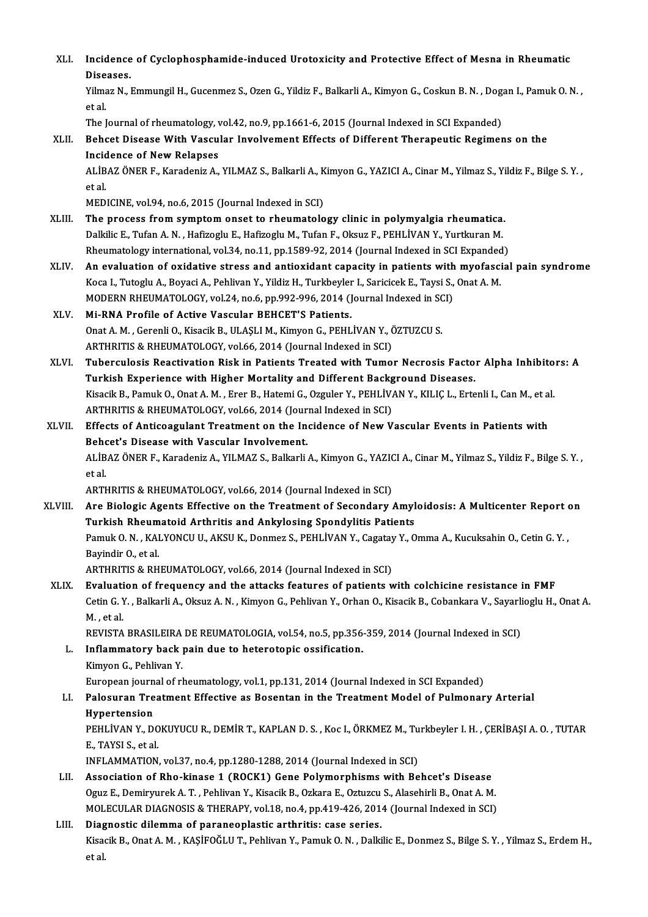XLI. Incidence of Cyclophosphamide-induced Urotoxicity and Protective Effect of Mesna in Rheumatic<br>Riseases Incidence<br>Diseases.<br><sup>Vilmor N</sup>. l Incidence of Cyclophosphamide-induced Urotoxicity and Protective Effect of Mesna in Rheumatic<br>Diseases.<br>Yilmaz N., Emmungil H., Gucenmez S., Ozen G., Yildiz F., Balkarli A., Kimyon G., Coskun B. N. , Dogan I., Pamuk O. N. Diseases.<br>Yilmaz N., Emmungil H., Gucenmez S., Ozen G., Yildiz F., Balkarli A., Kimyon G., Coskun B. N. , Dogan I., Pamuk O. N. ,<br>et al. Yilmaz N., Emmungil H., Gucenmez S., Ozen G., Yildiz F., Balkarli A., Kimyon G., Coskun B. N. , Dog.<br>et al.<br>The Journal of rheumatology, vol.42, no.9, pp.1661-6, 2015 (Journal Indexed in SCI Expanded)<br>Bohset Disease With V XLII. Behcet Disease With Vascular Involvement Effects of Different Therapeutic Regimens on the The Journal of rheumatology, v<br>Behcet Disease With Vascu<br>Incidence of New Relapses<br>ALIPAZ ÖNER E, Karadoniz A ALİBAZ ÖNER F., Karadeniz A., YILMAZ S., Balkarli A., Kimyon G., YAZICI A., Cinar M., Yilmaz S., Yildiz F., Bilge S.Y. ,<br>et al. Incidence of New Relapses MEDICINE, vol.94, no.6, 2015 (Journal Indexed in SCI) et al.<br>MEDICINE, vol.94, no.6, 2015 (Journal Indexed in SCI)<br>XLIII. The process from symptom onset to rheumatology clinic in polymyalgia rheumatica.<br>Delitie E. Tufan A.N., Hefizedy E. Hefizedy M. Tufan E. Okaya E. PEHI IVA MEDICINE, vol.94, no.6, 2015 (Journal Indexed in SCI)<br>The process from symptom onset to rheumatology clinic in polymyalgia rheumatica.<br>Dalkilic E., Tufan A.N. , Hafizoglu E., Hafizoglu M., Tufan F., Oksuz F., PEHLİVAN Y., The process from symptom onset to rheumatology clinic in polymyalgia rheumatica.<br>Dalkilic E., Tufan A. N. , Hafizoglu E., Hafizoglu M., Tufan F., Oksuz F., PEHLİVAN Y., Yurtkuran M.<br>Rheumatology international, vol.34, no.1 Dalkilic E., Tufan A. N. , Hafizoglu E., Hafizoglu M., Tufan F., Oksuz F., PEHLİVAN Y., Yurtkuran M.<br>Rheumatology international, vol.34, no.11, pp.1589-92, 2014 (Journal Indexed in SCI Expanded)<br>XLIV. An evaluation of oxid Rheumatology international, vol.34, no.11, pp.1589-92, 2014 (Journal Indexed in SCI Expanded<br>An evaluation of oxidative stress and antioxidant capacity in patients with myofasci<br>Koca I., Tutoglu A., Boyaci A., Pehlivan Y., An evaluation of oxidative stress and antioxidant capacity in patients with<br>Koca I., Tutoglu A., Boyaci A., Pehlivan Y., Yildiz H., Turkbeyler I., Saricicek E., Taysi S.,<br>MODERN RHEUMATOLOGY, vol.24, no.6, pp.992-996, 2014 Koca I., Tutoglu A., Boyaci A., Pehlivan Y., Yildiz H., Turkbeyler I., Saricicek E., Taysi S., Onat A. M.<br>MODERN RHEUMATOLOGY, vol.24, no.6, pp.992-996, 2014 (Journal Indexed in SCI)<br>XLV. Mi-RNA Profile of Active Vascu MODERN RHEUMATOLOGY, vol.24, no.6, pp.992-996, 2014 (Journal Indexed in SCI)<br>Mi-RNA Profile of Active Vascular BEHCET'S Patients.<br>Onat A. M., Gerenli O., Kisacik B., ULAŞLI M., Kimyon G., PEHLİVAN Y., ÖZTUZCU S.<br>ARTHRITIS Onat A. M., Gerenli O., Kisacik B., ULASLI M., Kimyon G., PEHLİVAN Y., ÖZTUZCU S. Onat A. M. , Gerenli O., Kisacik B., ULAŞLI M., Kimyon G., PEHLİVAN Y., ÖZTUZCU S.<br>ARTHRITIS & RHEUMATOLOGY, vol.66, 2014 (Journal Indexed in SCI)<br>XLVI. Tuberculosis Reactivation Risk in Patients Treated with Tumor Nec ARTHRITIS & RHEUMATOLOGY, vol.66, 2014 (Journal Indexed in SCI)<br>Tuberculosis Reactivation Risk in Patients Treated with Tumor Necrosis Facto<br>Turkish Experience with Higher Mortality and Different Background Diseases.<br>Kisas Tuberculosis Reactivation Risk in Patients Treated with Tumor Necrosis Factor Alpha Inhibito<br>Turkish Experience with Higher Mortality and Different Background Diseases.<br>Kisacik B., Pamuk O., Onat A. M. , Erer B., Hatemi G. Turkish Experience with Higher Mortality and Different Backg<br>Kisacik B., Pamuk O., Onat A. M. , Erer B., Hatemi G., Ozguler Y., PEHLİV.<br>ARTHRITIS & RHEUMATOLOGY, vol.66, 2014 (Journal Indexed in SCI)<br>Effects of Antisoasyla Kisacik B., Pamuk O., Onat A. M. , Erer B., Hatemi G., Ozguler Y., PEHLİVAN Y., KILIÇ L., Ertenli I., Can M., et a<br>ARTHRITIS & RHEUMATOLOGY, vol.66, 2014 (Journal Indexed in SCI)<br>XLVII. Effects of Anticoagulant Treatment o ARTHRITIS & RHEUMATOLOGY, vol.66, 2014 (Journal Effects of Anticoagulant Treatment on the Indential Behcet's Disease with Vascular Involvement. Effects of Anticoagulant Treatment on the Incidence of New Vascular Events in Patients with<br>Behcet's Disease with Vascular Involvement.<br>ALİBAZ ÖNER F., Karadeniz A., YILMAZ S., Balkarli A., Kimyon G., YAZICI A., Cinar M., Behcet's Disease with Vascular Involvement.<br>ALİBAZ ÖNER F., Karadeniz A., YILMAZ S., Balkarli A., Kimyon G., YAZICI A., Cinar M., Yilmaz S., Yildiz F., Bilge S. Y. ,<br>et al. ARTHRITIS & RHEUMATOLOGY, vol.66, 2014 (Journal Indexed in SCI) et al.<br>ARTHRITIS & RHEUMATOLOGY, vol.66, 2014 (Journal Indexed in SCI)<br>XLVIII. Are Biologic Agents Effective on the Treatment of Secondary Amyloidosis: A Multicenter Report on<br>Turkich Phoumatoid Arthritis and Ankylogin ARTHRITIS & RHEUMATOLOGY, vol.66, 2014 (Journal Indexed in SCI)<br>Are Biologic Agents Effective on the Treatment of Secondary Amyl<br>Turkish Rheumatoid Arthritis and Ankylosing Spondylitis Patients<br>Pamuk O.N., KALVONCU U. AKSU Are Biologic Agents Effective on the Treatment of Secondary Amyloidosis: A Multicenter Report of Turkish Rheumatoid Arthritis and Ankylosing Spondylitis Patients<br>Pamuk O. N. , KALYONCU U., AKSU K., Donmez S., PEHLİVAN Y., Turkish Rheumatoid Arthritis and Ankylosing Spondylitis Patients<br>Pamuk O. N. , KALYONCU U., AKSU K., Donmez S., PEHLİVAN Y., Cagatay Y., Omma A., Kucuksahin O., Cetin G. Y. ,<br>Bavindir O., et al. ARTHRITIS & RHEUMATOLOGY, vol.66, 2014 (Journal Indexed in SCI) XLIX. Evaluation of frequency and the attacks features of patients with colchicine resistance in FMF ARTHRITIS & RHEUMATOLOGY, vol.66, 2014 (Journal Indexed in SCI)<br><mark>Evaluation of frequency and the attacks features of patients with colchicine resistance in FMF</mark><br>Cetin G. Y. , Balkarli A., Oksuz A. N. , Kimyon G., Pehlivan Evaluati<br>Cetin G. )<br>M. , et al.<br>PEVISTA Cetin G. Y. , Balkarli A., Oksuz A. N. , Kimyon G., Pehlivan Y., Orhan O., Kisacik B., Cobankara V., Sayarli<br>M. , et al.<br>REVISTA BRASILEIRA DE REUMATOLOGIA, vol.54, no.5, pp.356-359, 2014 (Journal Indexed in SCI)<br>Inflammat M. , et al.<br>REVISTA BRASILEIRA DE REUMATOLOGIA, vol.54, no.5, pp.356-<br>L. Inflammatory back pain due to heterotopic ossification.<br>Kimyon G., Pehlivan Y. REVISTA BRASILEIRA<br>Inflammatory back<br>Kimyon G., Pehlivan Y.<br>European journal of rl I<mark>nflammatory back pain due to heterotopic ossification.</mark><br>Kimyon G., Pehlivan Y.<br>European journal of rheumatology, vol.1, pp.131, 2014 (Journal Indexed in SCI Expanded)<br>Palosuran Treatment Effective as Posentan in the Trea LI. Palosuran Treatment Effective as Bosentan in the Treatment Model of Pulmonary Arterial<br>Hypertension European journ<br><mark>Palosuran Tre</mark><br>Hypertension<br>PEHI WAN V. De Palosuran Treatment Effective as Bosentan in the Treatment Model of Pulmonary Arterial<br>Hypertension<br>PEHLİVAN Y., DOKUYUCU R., DEMİR T., KAPLAN D. S. , Koc I., ÖRKMEZ M., Turkbeyler I. H. , ÇERİBAŞI A. O. , TUTAR<br>E. TAYSI S Hypertension<br>PEHLİVAN Y., DO<br>E., TAYSI S., et al.<br>INELAMMATION PEHLİVAN Y., DOKUYUCU R., DEMİR T., KAPLAN D. S. , Koc I., ÖRKMEZ M., Tu<br>E., TAYSI S., et al.<br>INFLAMMATION, vol.37, no.4, pp.1280-1288, 2014 (Journal Indexed in SCI)<br>Association of Pho. kinaso 1. (POCK1), Cano Polymorphism E., TAYSI S., et al.<br>INFLAMMATION, vol.37, no.4, pp.1280-1288, 2014 (Journal Indexed in SCI)<br>LII. Association of Rho-kinase 1 (ROCK1) Gene Polymorphisms with Behcet's Disease INFLAMMATION, vol.37, no.4, pp.1280-1288, 2014 (Journal Indexed in SCI)<br>Association of Rho-kinase 1 (ROCK1) Gene Polymorphisms with Behcet's Disease<br>Oguz E., Demiryurek A.T., Pehlivan Y., Kisacik B., Ozkara E., Oztuzcu S., MOLECULAR DIAGNOSIS & THERAPY, vol.18, no.4, pp.419-426, 2014 (Journal Indexed in SCI)<br>Diagnostic dilemma of paraneoplastic arthritis: case series. Oguz E., Demiryurek A. T., Pehlivan Y., Kisacik B., Ozkara E., Oztuzcu<br>MOLECULAR DIAGNOSIS & THERAPY, vol.18, no.4, pp.419-426, 201<br>LIII. Diagnostic dilemma of paraneoplastic arthritis: case series.<br>Elisagik B. Opet A. M., MOLECULAR DIAGNOSIS & THERAPY, vol.18, no.4, pp.419-426, 2014 (Journal Indexed in SCI)<br>Di<mark>agnostic dilemma of paraneoplastic arthritis: case series.</mark><br>Kisacik B., Onat A. M. , KAŞİFOĞLU T., Pehlivan Y., Pamuk O. N. , Dalkil Diag<br>Kisa<br>et al.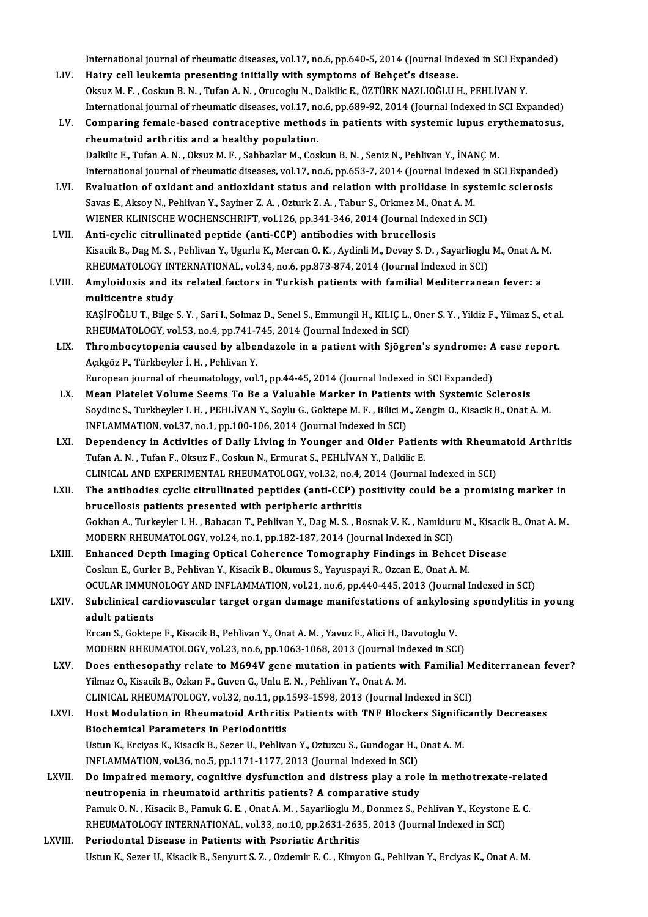International journal of rheumatic diseases, vol.17, no.6, pp.640-5, 2014 (Journal Indexed in SCI Expanded)<br>Hainy cell Joukamia presenting initially with symptome of Peheet's disease.

- International journal of rheumatic diseases, vol.17, no.6, pp.640-5, 2014 (Journal Ind<br>LIV. Hairy cell leukemia presenting initially with symptoms of Behçet's disease.<br>Qlrug M. E. Cockup B. N. Tufon A. N. Quyeoslu N. Dalkl International journal of rheumatic diseases, vol.17, no.6, pp.640-5, 2014 (Journal Indexed in SCI Expanding M<br>Hairy cell leukemia presenting initially with symptoms of Behçet's disease.<br>Oksuz M. F. , Coskun B. N. , Tufan A Hairy cell leukemia presenting initially with symptoms of Behçet's disease.<br>Oksuz M. F. , Coskun B. N. , Tufan A. N. , Orucoglu N., Dalkilic E., ÖZTÜRK NAZLIOĞLU H., PEHLİVAN Y.<br>International journal of rheumatic diseases, Oksuz M. F., Coskun B. N., Tufan A. N., Orucoglu N., Dalkilic E., ÖZTÜRK NAZLIOĞLU H., PEHLİVAN Y.<br>International journal of rheumatic diseases, vol.17, no.6, pp.689-92, 2014 (Journal Indexed in SCI Expanded)<br>LV. Comparing
- International journal of rheumatic diseases, vol.17, no<br>Comparing female-based contraceptive method<br>rheumatoid arthritis and a healthy population.<br>Dalkilis E. Tufan A.N., Okayz M.E., Sabbazlar M.Cos Dalkilic E., Tufan A.N., Oksuz M.F., Sahbazlar M., Coskun B.N., Seniz N., Pehlivan Y., İNANÇM.
- International journal of rheumatic diseases, vol.17, no.6, pp.653-7, 2014 (Journal Indexed in SCI Expanded) LVI. Evaluation of oxidant and antioxidant status and relation with prolidase in systemic sclerosis International journal of rheumatic diseases, vol.17, no.6, pp.653-7, 2014 (Journal Indexed:<br>Evaluation of oxidant and antioxidant status and relation with prolidase in sys<br>Savas E., Aksoy N., Pehlivan Y., Sayiner Z. A. , O Evaluation of oxidant and antioxidant status and relation with prolidase in system<br>Savas E., Aksoy N., Pehlivan Y., Sayiner Z. A. , Ozturk Z. A. , Tabur S., Orkmez M., Onat A. M.<br>WIENER KLINISCHE WOCHENSCHRIFT, vol.126, pp Savas E., Aksoy N., Pehlivan Y., Sayiner Z. A., Ozturk Z. A., Tabur S., Orkmez M., O.<br>WIENER KLINISCHE WOCHENSCHRIFT, vol.126, pp.341-346, 2014 (Journal Inde<br>LVII. Anti-cyclic citrullinated peptide (anti-CCP) antibodies wi
- WIENER KLINISCHE WOCHENSCHRIFT, vol.126, pp.341-346, 2014 (Journal Indexed in SCI)<br>Anti-cyclic citrullinated peptide (anti-CCP) antibodies with brucellosis<br>Kisacik B., Dag M. S. , Pehlivan Y., Ugurlu K., Mercan O. K. , Ayd Anti-cyclic citrullinated peptide (anti-CCP) antibodies with brucellosis<br>Kisacik B., Dag M. S. , Pehlivan Y., Ugurlu K., Mercan O. K. , Aydinli M., Devay S. D. , Sayarlioglu<br>RHEUMATOLOGY INTERNATIONAL, vol.34, no.6, pp.873
- LVIII. Amyloidosis and its related factors in Turkish patients with familial Mediterranean fever: a<br>multicentre study RHEUMATOLOGY IN<br>Amyloidosis and it<br>multicentre study<br>KASİEOĞLUT, Bilge Amyloidosis and its related factors in Turkish patients with familial Mediterranean fever: a<br>multicentre study<br>KAŞİFOĞLU T., Bilge S.Y. , Sari I., Solmaz D., Senel S., Emmungil H., KILIÇ L., Oner S.Y. , Yildiz F., Yilmaz S multicentre study<br>KAŞİFOĞLU T., Bilge S. Y. , Sari I., Solmaz D., Senel S., Emmungil H., KILIÇ L.,<br>RHEUMATOLOGY, vol.53, no.4, pp.741-745, 2014 (Journal Indexed in SCI)<br>Thrombosytonenia seveed by elbenderele in a natient w
	- KAŞİFOĞLU T., Bilge S. Y. , Sari I., Solmaz D., Senel S., Emmungil H., KILIÇ L., Oner S. Y. , Yildiz F., Yilmaz S., et al<br>RHEUMATOLOGY, vol.53, no.4, pp.741-745, 2014 (Journal Indexed in SCI)<br>LIX. Thrombocytopenia caused b RHEUMATOLOGY, vol.53, no.4, pp.741-7<br>Thrombocytopenia caused by alber<br>Açıkgöz P., Türkbeyler İ. H. , Pehlivan Y.<br>European journal of rhoumatology vol.

Thrombocytopenia caused by albendazole in a patient with Sjögren's syndrome: A<br>Açıkgöz P., Türkbeyler İ. H. , Pehlivan Y.<br>European journal of rheumatology, vol.1, pp.44-45, 2014 (Journal Indexed in SCI Expanded)<br>Mean Plate Açıkgöz P., Türkbeyler İ. H. , Pehlivan Y.<br>European journal of rheumatology, vol.1, pp.44-45, 2014 (Journal Indexed in SCI Expanded)<br>LX. Mean Platelet Volume Seems To Be a Valuable Marker in Patients with Systemic Scle

- European journal of rheumatology, vol.1, pp.44-45, 2014 (Journal Indexed in SCI Expanded)<br>Mean Platelet Volume Seems To Be a Valuable Marker in Patients with Systemic Sclerosis<br>Soydinc S., Turkbeyler I. H. , PEHLİVAN Y., S Mean Platelet Volume Seems To Be a Valuable Marker in Patients<br>Soydinc S., Turkbeyler I. H. , PEHLİVAN Y., Soylu G., Goktepe M. F. , Bilici M<br>INFLAMMATION, vol.37, no.1, pp.100-106, 2014 (Journal Indexed in SCI)<br>Penendensy Soydinc S., Turkbeyler I. H. , PEHLİVAN Y., Soylu G., Goktepe M. F. , Bilici M., Zengin O., Kisacik B., Onat A. M.<br>INFLAMMATION, vol.37, no.1, pp.100-106, 2014 (Journal Indexed in SCI)<br>LXI. Dependency in Activities of Dail
- INFLAMMATION, vol.37, no.1, pp.100-106, 2014 (Journal Indexed in SCI)<br>Dependency in Activities of Daily Living in Younger and Older Patients with Rheum<br>Tufan A. N., Tufan F., Oksuz F., Coskun N., Ermurat S., PEHLİVAN Y., D Dependency in Activities of Daily Living in Younger and Older Patients with Rheumatoid Arthritis

LXII. The antibodies cyclic citrullinated peptides (anti-CCP) positivity could be a promising marker in brucellosis patients presented with peripheric arthritis The antibodies cyclic citrullinated peptides (anti-CCP) positivity could be a promising marker in<br>brucellosis patients presented with peripheric arthritis<br>Gokhan A., Turkeyler I. H. , Babacan T., Pehlivan Y., Dag M. S. , B brucellosis patients presented with peripheric arthritis<br>Gokhan A., Turkeyler I. H. , Babacan T., Pehlivan Y., Dag M. S. , Bosnak V. K. , Namidur<br>MODERN RHEUMATOLOGY, vol.24, no.1, pp.182-187, 2014 (Journal Indexed in SCI) Gokhan A., Turkeyler I. H., Babacan T., Pehlivan Y., Dag M. S., Bosnak V. K., Namiduru M., Kisacik<br>MODERN RHEUMATOLOGY, vol.24, no.1, pp.182-187, 2014 (Journal Indexed in SCI)<br>LXIII. Enhanced Depth Imaging Optical Coherenc

- MODERN RHEUMATOLOGY, vol.24, no.1, pp.182-187, 2014 (Journal Indexed in SCI)<br>Enhanced Depth Imaging Optical Coherence Tomography Findings in Behcet I<br>Coskun E., Gurler B., Pehlivan Y., Kisacik B., Okumus S., Yayuspayi R., Enhanced Depth Imaging Optical Coherence Tomography Findings in Behcet Disease<br>Coskun E., Gurler B., Pehlivan Y., Kisacik B., Okumus S., Yayuspayi R., Ozcan E., Onat A. M.<br>OCULAR IMMUNOLOGY AND INFLAMMATION, vol.21, no.6, Coskun E., Gurler B., Pehlivan Y., Kisacik B., Okumus S., Yayuspayi R., Ozcan E., Onat A. M.<br>OCULAR IMMUNOLOGY AND INFLAMMATION, vol.21, no.6, pp.440-445, 2013 (Journal Indexed in SCI)<br>LXIV. Subclinical cardiovascular targ
- **OCULAR IMMUN<br>Subclinical car<br>adult patients**<br>Freen S. Colton Subclinical cardiovascular target organ damage manifestations of ankylosi<br>adult patients<br>Ercan S., Goktepe F., Kisacik B., Pehlivan Y., Onat A. M. , Yavuz F., Alici H., Davutoglu V.<br>MODEPN PHEUMATOLOCY, vol.22, no.6, nn.10 adult patients<br>Ercan S., Goktepe F., Kisacik B., Pehlivan Y., Onat A. M. , Yavuz F., Alici H., Davutoglu V.<br>MODERN RHEUMATOLOGY, vol.23, no.6, pp.1063-1068, 2013 (Journal Indexed in SCI)<br>Does enthesenathy relate to M694V g

- Ercan S., Goktepe F., Kisacik B., Pehlivan Y., Onat A. M. , Yavuz F., Alici H., Davutoglu V.<br>MODERN RHEUMATOLOGY, vol.23, no.6, pp.1063-1068, 2013 (Journal Indexed in SCI)<br>LXV. Does enthesopathy relate to M694V gene mutati MODERN RHEUMATOLOGY, vol.23, no.6, pp.1063-1068, 2013 (Journal Incodes enthesopathy relate to M694V gene mutation in patients w<br>Yilmaz O., Kisacik B., Ozkan F., Guven G., Unlu E. N. , Pehlivan Y., Onat A. M.<br>CLINICAL BUEUM Does enthesopathy relate to M694V gene mutation in patients with Familial M<br>Yilmaz O., Kisacik B., Ozkan F., Guven G., Unlu E. N. , Pehlivan Y., Onat A. M.<br>CLINICAL RHEUMATOLOGY, vol.32, no.11, pp.1593-1598, 2013 (Journal Yilmaz O., Kisacik B., Ozkan F., Guven G., Unlu E. N. , Pehlivan Y., Onat A. M.<br>CLINICAL RHEUMATOLOGY, vol.32, no.11, pp.1593-1598, 2013 (Journal Indexed in SCI)<br>LXVI. Host Modulation in Rheumatoid Arthritis Patients with
- CLINICAL RHEUMATOLOGY, vol.32, no.11, pp.1<br>Host Modulation in Rheumatoid Arthritis<br>Biochemical Parameters in Periodontitis<br>Hetun K. Engives K. Kiossik B. Seger H. Behlivs Host Modulation in Rheumatoid Arthritis Patients with TNF Blockers Signific<br>Biochemical Parameters in Periodontitis<br>Ustun K., Erciyas K., Kisacik B., Sezer U., Pehlivan Y., Oztuzcu S., Gundogar H., Onat A. M.<br>INELAMMATION Biochemical Parameters in Periodontitis<br>Ustun K., Erciyas K., Kisacik B., Sezer U., Pehlivan Y., Oztuzcu S., Gundogar H., Onat A. M.<br>INFLAMMATION, vol.36, no.5, pp.1171-1177, 2013 (Journal Indexed in SCI)
- Ustun K., Erciyas K., Kisacik B., Sezer U., Pehlivan Y., Oztuzcu S., Gundogar H., Onat A. M.<br>INFLAMMATION, vol.36, no.5, pp.1171-1177, 2013 (Journal Indexed in SCI)<br>LXVII. Do impaired memory, cognitive dysfunction and dist INFLAMMATION, vol.36, no.5, pp.1171-1177, 2013 (Journal Indexed in SCI)<br>Do impaired memory, cognitive dysfunction and distress play a role<br>neutropenia in rheumatoid arthritis patients? A comparative study<br>Pamuk Q N - Kines Do impaired memory, cognitive dysfunction and distress play a role in methotrexate-rela<br>neutropenia in rheumatoid arthritis patients? A comparative study<br>Pamuk O. N. , Kisacik B., Pamuk G. E. , Onat A. M. , Sayarlioglu M., neutropenia in rheumatoid arthritis patients? A comparative study<br>Pamuk O. N. , Kisacik B., Pamuk G. E. , Onat A. M. , Sayarlioglu M., Donmez S., Pehlivan Y., Keystone<br>RHEUMATOLOGY INTERNATIONAL, vol.33, no.10, pp.2631-263 RHEUMATOLOGY INTERNATIONAL, vol.33, no.10, pp.2631-2635, 2013 (Journal Indexed in SCI)<br>LXVIII. Periodontal Disease in Patients with Psoriatic Arthritis
- Ustun K., Sezer U., Kisacik B., Senyurt S. Z., Ozdemir E. C., Kimyon G., Pehlivan Y., Erciyas K., Onat A. M.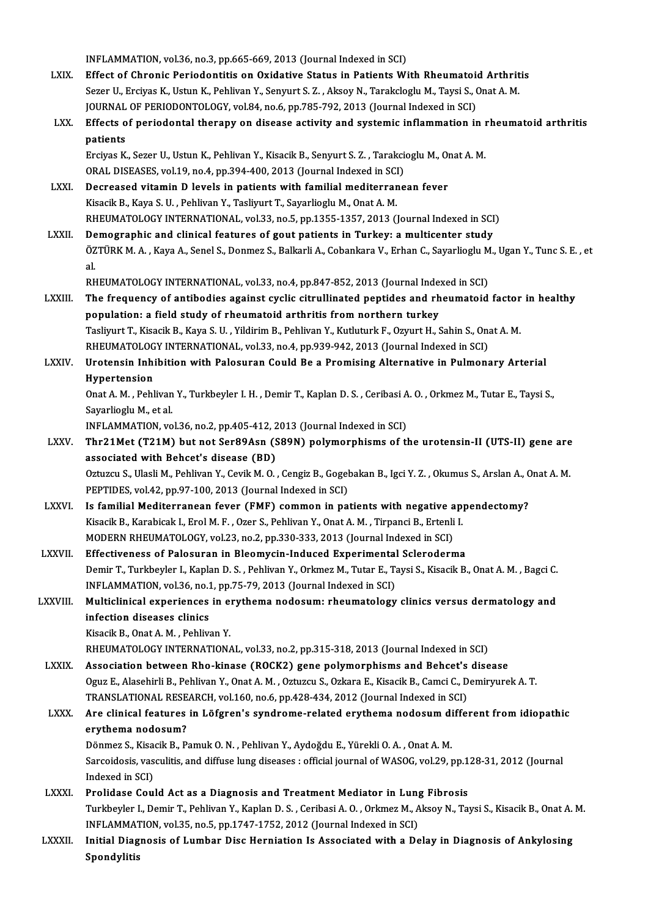INFLAMMATION, vol.36, no.3, pp.665-669, 2013 (Journal Indexed in SCI) LXIX. Effect of Chronic Periodontitis on Oxidative Status in Patients With Rheumatoid Arthritis INFLAMMATION, vol.36, no.3, pp.665-669, 2013 (Journal Indexed in SCI)<br>Effect of Chronic Periodontitis on Oxidative Status in Patients With Rheumatoid Arthrit<br>Sezer U., Erciyas K., Ustun K., Pehlivan Y., Senyurt S. Z. , Aks Effect of Chronic Periodontitis on Oxidative Status in Patients With Rheumatoi<br>Sezer U., Erciyas K., Ustun K., Pehlivan Y., Senyurt S. Z. , Aksoy N., Tarakcloglu M., Taysi S., (<br>JOURNAL OF PERIODONTOLOGY, vol.84, no.6, pp. LXX. Effects of periodontal therapy on disease activity and systemic inflammation in rheumatoid arthritis JOURNAL OF PERIODONTOLOGY, vol.84, no.6, pp.785-792, 2013 (Journal Indexed in SCI) Effects of periodontal therapy on disease activity and systemic inflammation in l<br>patients<br>Erciyas K., Sezer U., Ustun K., Pehlivan Y., Kisacik B., Senyurt S. Z. , Tarakcioglu M., Onat A. M.<br>OPAL DISEASES vol.19 no.4 np.39 patients<br>Erciyas K., Sezer U., Ustun K., Pehlivan Y., Kisacik B., Senyurt S. Z. , Tarakci<br>ORAL DISEASES, vol.19, no.4, pp.394-400, 2013 (Journal Indexed in SCI)<br>Desreesed witemin D. Joyek in patients with familiel mediterr ORAL DISEASES, vol.19, no.4, pp.394-400, 2013 (Journal Indexed in SCI)<br>LXXI. Decreased vitamin D levels in patients with familial mediterranean fever Kisacik B., Kaya S. U., Pehlivan Y., Tasliyurt T., Sayarlioglu M., Onat A. M. Decreased vitamin D levels in patients with familial mediterranean fever<br>Kisacik B., Kaya S. U. , Pehlivan Y., Tasliyurt T., Sayarlioglu M., Onat A. M.<br>RHEUMATOLOGY INTERNATIONAL, vol.33, no.5, pp.1355-1357, 2013 (Journal Kisacik B., Kaya S. U., Pehlivan Y., Tasliyurt T., Sayarlioglu M., Onat A. M.<br>RHEUMATOLOGY INTERNATIONAL, vol.33, no.5, pp.1355-1357, 2013 (Journal Indexed in SCI<br>LXXII. Demographic and clinical features of gout patients i RHEUMATOLOGY INTERNATIONAL, vol.33, no.5, pp.1355-1357, 2013 (Journal Indexed in SCI)<br>De<mark>mographic and clinical features of gout patients in Turkey: a multicenter study</mark><br>ÖZTÜRK M. A. , Kaya A., Senel S., Donmez S., Balkarl De<br>ÖZ<br>DE ÖZTÜRK M. A. , Kaya A., Senel S., Donmez S., Balkarli A., Cobankara V., Erhan C., Sayarlioglu M<br>al.<br>RHEUMATOLOGY INTERNATIONAL, vol.33, no.4, pp.847-852, 2013 (Journal Indexed in SCI)<br>The frequency of antibodies against sy al.<br>RHEUMATOLOGY INTERNATIONAL, vol.33, no.4, pp.847-852, 2013 (Journal Indexed in SCI)<br>LXXIII. The frequency of antibodies against cyclic citrullinated peptides and rheumatoid factor in healthy<br>population: a field study o RHEUMATOLOGY INTERNATIONAL, vol.33, no.4, pp.847-852, 2013 (Journal Indexed in SCI) The frequency of antibodies against cyclic citrullinated peptides and rheumatoid factor<br>population: a field study of rheumatoid arthritis from northern turkey<br>Tasliyurt T., Kisacik B., Kaya S. U. , Yildirim B., Pehlivan Y. population: a field study of rheumatoid arthritis from northern turkey<br>Tasliyurt T., Kisacik B., Kaya S. U. , Yildirim B., Pehlivan Y., Kutluturk F., Ozyurt H., Sahin S., Ona<br>RHEUMATOLOGY INTERNATIONAL, vol.33, no.4, pp.93 Tasliyurt T., Kisacik B., Kaya S. U. , Yildirim B., Pehlivan Y., Kutluturk F., Ozyurt H., Sahin S., Onat A. M.<br>RHEUMATOLOGY INTERNATIONAL, vol.33, no.4, pp.939-942, 2013 (Journal Indexed in SCI)<br>LXXIV. Urotensin Inhibition RHEUMATOLOGY INTERNATIONAL, vol.33, no.4, pp.939-942, 2013 (Journal Indexed in SCI)<br>Urotensin Inhibition with Palosuran Could Be a Promising Alternative in Pulmon:<br>Hypertension Urotensin Inhibition with Palosuran Could Be a Promising Alternative in Pulmonary Arterial<br>Hypertension<br>Onat A. M. , Pehlivan Y., Turkbeyler I. H. , Demir T., Kaplan D. S. , Ceribasi A. O. , Orkmez M., Tutar E., Taysi S<br>Sa Onat A. M., Pehlivan Y., Turkbeyler I. H., Demir T., Kaplan D. S., Ceribasi A. O., Orkmez M., Tutar E., Taysi S., Onat A. M. , Pehlivan Y., Turkbeyler I. H. , Demir T., Kaplan D. S. , Ceribasi A<br>Sayarlioglu M., et al.<br>INFLAMMATION, vol.36, no.2, pp.405-412, 2013 (Journal Indexed in SCI)<br>Thr21Met (T21M) but not Ser89Aen (S89N) nolumern LXXV. Thr21Met (T21M) but not Ser89Asn (S89N) polymorphisms of the urotensin-II (UTS-II) gene are INFLAMMATION, vol.36, no.2, pp.405-412, 2<br>Thr21Met (T21M) but not Ser89Asn (S<br>associated with Behcet's disease (BD) Thr21Met (T21M) but not Ser89Asn (S89N) polymorphisms of the urotensin-II (UTS-II) gene are<br>associated with Behcet's disease (BD)<br>Oztuzcu S., Ulasli M., Pehlivan Y., Cevik M. O. , Cengiz B., Gogebakan B., Igci Y. Z. , Okum associated with Behcet's disease (BD)<br>Oztuzcu S., Ulasli M., Pehlivan Y., Cevik M. O. , Cengiz B., Gogel<br>PEPTIDES, vol.42, pp.97-100, 2013 (Journal Indexed in SCI)<br>Is familial Mediterranean fouer (EME) common in ne Oztuzcu S., Ulasli M., Pehlivan Y., Cevik M. O. , Cengiz B., Gogebakan B., Igci Y. Z. , Okumus S., Arslan A., C<br>PEPTIDES, vol.42, pp.97-100, 2013 (Journal Indexed in SCI)<br>LXXVI. Is familial Mediterranean fever (FMF) common PEPTIDES, vol.42, pp.97-100, 2013 (Journal Indexed in SCI)<br>Is familial Mediterranean fever (FMF) common in patients with negative app<br>Kisacik B., Karabicak I., Erol M. F. , Ozer S., Pehlivan Y., Onat A. M. , Tirpanci B., E Is familial Mediterranean fever (FMF) common in patients with negative a<br>Kisacik B., Karabicak I., Erol M. F. , Ozer S., Pehlivan Y., Onat A. M. , Tirpanci B., Ertenli<br>MODERN RHEUMATOLOGY, vol.23, no.2, pp.330-333, 2013 (J Kisacik B., Karabicak I., Erol M. F. , Ozer S., Pehlivan Y., Onat A. M. , Tirpanci B., Ertenli I.<br>MODERN RHEUMATOLOGY, vol.23, no.2, pp.330-333, 2013 (Journal Indexed in SCI)<br>LXXVII. Effectiveness of Palosuran in Bleomycin MODERN RHEUMATOLOGY, vol.23, no.2, pp.330-333, 2013 (Journal Indexed in SCI)<br>Effectiveness of Palosuran in Bleomycin-Induced Experimental Scleroderma<br>Demir T., Turkbeyler I., Kaplan D. S. , Pehlivan Y., Orkmez M., Tutar E. Effectiveness of Palosuran in Bleomycin-Induced Experimental<br>Demir T., Turkbeyler I., Kaplan D. S. , Pehlivan Y., Orkmez M., Tutar E., T.<br>INFLAMMATION, vol.36, no.1, pp.75-79, 2013 (Journal Indexed in SCI)<br>Multialinical ex Demir T., Turkbeyler I., Kaplan D. S. , Pehlivan Y., Orkmez M., Tutar E., Taysi S., Kisacik B., Onat A. M. , Bagci C.<br>INFLAMMATION, vol.36, no.1, pp.75-79, 2013 (Journal Indexed in SCI)<br>LXXVIII. Multiclinical experiences i INFLAMMATION, vol.36, no.1<br>Multiclinical experiences<br>infection diseases clinics<br><sup>Visacil: B.</sup> Opet A. M. Bobliv Multiclinical experiences in erythema nodosum: rheumatology clinics versus dermatology and infection diseases clinics<br>Kisacik B., Onat A.M. , Pehlivan Y. infection diseases clinics<br>Kisacik B., Onat A. M. , Pehlivan Y.<br>RHEUMATOLOGY INTERNATIONAL, vol.33, no.2, pp.315-318, 2013 (Journal Indexed in SCI)<br>Association between Pho kinase (BOGK2) gene polymernhisms and Pehset's dis Kisacik B., Onat A. M., Pehlivan Y.<br>RHEUMATOLOGY INTERNATIONAL, vol.33, no.2, pp.315-318, 2013 (Journal Indexed in SCI)<br>LXXIX. Association between Rho-kinase (ROCK2) gene polymorphisms and Behcet's disease<br>Ogya E. Alasobir RHEUMATOLOGY INTERNATIONAL, vol.33, no.2, pp.315-318, 2013 (Journal Indexed in SCI)<br>Association between Rho-kinase (ROCK2) gene polymorphisms and Behcet's disease<br>Oguz E., Alasehirli B., Pehlivan Y., Onat A. M. , Oztuzcu S Association between Rho-kinase (ROCK2) gene polymorphisms and Behcet's<br>Oguz E., Alasehirli B., Pehlivan Y., Onat A. M., Oztuzcu S., Ozkara E., Kisacik B., Camci C., D<br>TRANSLATIONAL RESEARCH, vol.160, no.6, pp.428-434, 2012 Oguz E., Alasehirli B., Pehlivan Y., Onat A. M. , Oztuzcu S., Ozkara E., Kisacik B., Camci C., Demiryurek A. T.<br>TRANSLATIONAL RESEARCH, vol.160, no.6, pp.428-434, 2012 (Journal Indexed in SCI)<br>LXXX. Are clinical features i TRANSLATIONAL RESE<br>Are clinical features<br>erythema nodosum?<br>Dänmer S. Kisasik B. B. Are clinical features in Löfgren's syndrome-related erythema nodosum di<br>erythema nodosum?<br>Dönmez S., Kisacik B., Pamuk O.N. , Pehlivan Y., Aydoğdu E., Yürekli O.A. , Onat A. M.<br>Sarsaidasis vassulitis and diffuse lung disea er**ythema nodosum?**<br>Dönmez S., Kisacik B., Pamuk O. N. , Pehlivan Y., Aydoğdu E., Yürekli O. A. , Onat A. M.<br>Sarcoidosis, vasculitis, and diffuse lung diseases : official journal of WASOG, vol.29, pp.128-31, 2012 (Journal<br> Dönmez S., Kisacik B., Pamuk O. N., Pehlivan Y., Aydoğdu E., Yürekli O. A., Onat A. M. LXXXI. Prolidase Could Act as a Diagnosis and Treatment Mediator in Lung Fibrosis Indexed in SCI)<br>Prolidase Could Act as a Diagnosis and Treatment Mediator in Lung Fibrosis<br>Turkbeyler I., Demir T., Pehlivan Y., Kaplan D. S. , Ceribasi A. O. , Orkmez M., Aksoy N., Taysi S., Kisacik B., Onat A. M.<br>INELAMM Prolidase Could Act as a Diagnosis and Treatment Mediator in Lung<br>Turkbeyler I., Demir T., Pehlivan Y., Kaplan D. S. , Ceribasi A. O. , Orkmez M., A<br>INFLAMMATION, vol.35, no.5, pp.1747-1752, 2012 (Journal Indexed in SCI)<br>I Turkbeyler I., Demir T., Pehlivan Y., Kaplan D. S. , Ceribasi A. O. , Orkmez M., Aksoy N., Taysi S., Kisacik B., Onat A.<br>INFLAMMATION, vol.35, no.5, pp.1747-1752, 2012 (Journal Indexed in SCI)<br>LXXXII. Initial Diagnosis of INFLAMMAT<br>Initial Diag<br>Spondylitis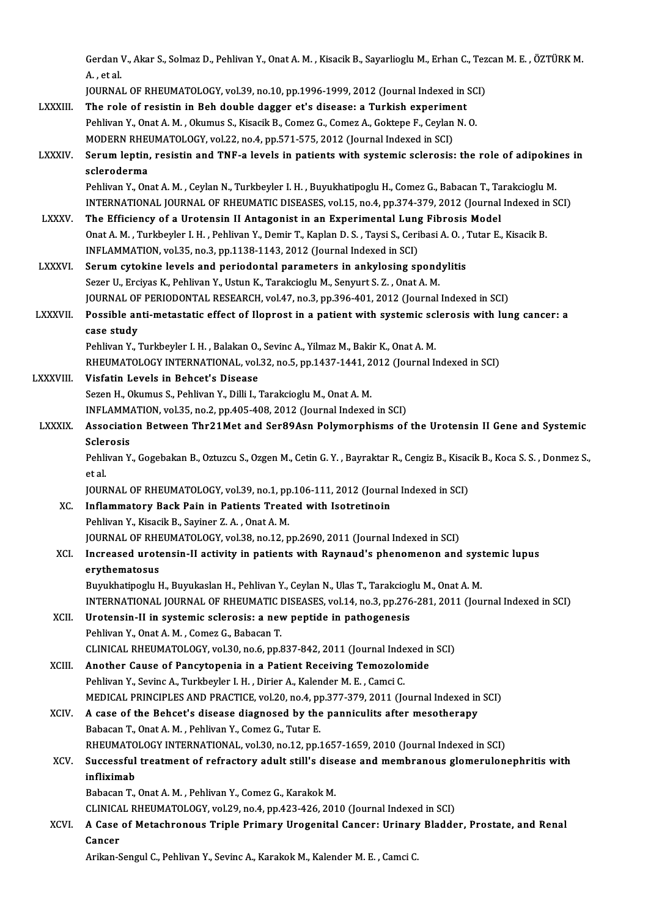Gerdan V., Akar S., Solmaz D., Pehlivan Y., Onat A. M. , Kisacik B., Sayarlioglu M., Erhan C., Tezcan M. E. , ÖZTÜRK M.<br>A. stal Gerdan<br>A. , et al.<br>JOUPMA! Gerdan V., Akar S., Solmaz D., Pehlivan Y., Onat A. M. , Kisacik B., Sayarlioglu M., Erhan C., Tez<br>A. , et al.<br>JOURNAL OF RHEUMATOLOGY, vol.39, no.10, pp.1996-1999, 2012 (Journal Indexed in SCI)<br>The role of registin in Boh

- A., et al.<br>1996-1999, 2012 (Journal Indexed in Sulfa and Tournal OF RHEUMATOLOGY, vol. 39, no. 10, pp. 1996-1999, 2012<br>1997 LXXXIII. The role of resistin in Beh double dagger et's disease: a Turkish experiment JOURNAL OF RHEUMATOLOGY, vol.39, no.10, pp.1996-1999, 2012 (Journal Indexed in SCI)<br>The role of resistin in Beh double dagger et's disease: a Turkish experiment<br>Pehlivan Y., Onat A. M., Okumus S., Kisacik B., Comez G., Com The role of resistin in Beh double dagger et's disease: a Turkish experime<br>Pehlivan Y., Onat A. M. , Okumus S., Kisacik B., Comez G., Comez A., Goktepe F., Ceylan<br>MODERN RHEUMATOLOGY, vol.22, no.4, pp.571-575, 2012 (Journa Pehlivan Y., Onat A. M. , Okumus S., Kisacik B., Comez G., Comez A., Goktepe F., Ceylan N. O.<br>MODERN RHEUMATOLOGY, vol.22, no.4, pp.571-575, 2012 (Journal Indexed in SCI)<br>LXXXIV. Serum leptin, resistin and TNF-a levels in
- MODERN RHE<br>Serum leptin<br>scleroderma<br><sup>Roblivon V.</sup> On Serum leptin, resistin and TNF-a levels in patients with systemic sclerosis: the role of adipokin<br>scleroderma<br>Pehlivan Y., Onat A. M. , Ceylan N., Turkbeyler I. H. , Buyukhatipoglu H., Comez G., Babacan T., Tarakcioglu M<br>I

```
scleroderma<br>Pehlivan Y., Onat A. M. , Ceylan N., Turkbeyler I. H. , Buyukhatipoglu H., Comez G., Babacan T., Tarakcioglu M<br>INTERNATIONAL JOURNAL OF RHEUMATIC DISEASES, vol.15, no.4, pp.374-379, 2012 (Journal Indexed in SCI
Pehlivan Y., Onat A. M. , Ceylan N., Turkbeyler I. H. , Buyukhatipoglu H., Comez G., Babacan T., Ta<br>INTERNATIONAL JOURNAL OF RHEUMATIC DISEASES, vol.15, no.4, pp.374-379, 2012 (Journal<br>LXXXV. The Efficiency of a Urotensin
```
- INTERNATIONAL JOURNAL OF RHEUMATIC DISEASES, vol.15, no.4, pp.374-379, 2012 (Journal Indexed in<br>The Efficiency of a Urotensin II Antagonist in an Experimental Lung Fibrosis Model<br>Onat A. M. , Turkbeyler I. H. , Pehlivan Y. The Efficiency of a Urotensin II Antagonist in an Experimental Lung Fibrosis Model<br>Onat A. M. , Turkbeyler I. H. , Pehlivan Y., Demir T., Kaplan D. S. , Taysi S., Ceribasi A. O. , Tutar E., Kisacik B.<br>INFLAMMATION, vol.35, Onat A. M., Turkbeyler I. H., Pehlivan Y., Demir T., Kaplan D. S., Taysi S., Ceribasi A. O., T<br>INFLAMMATION, vol.35, no.3, pp.1138-1143, 2012 (Journal Indexed in SCI)<br>LXXXVI. Serum cytokine levels and periodontal parameter
- INFLAMMATION, vol.35, no.3, pp.1138-1143, 2012 (Journal Indexed in SCI)<br>Serum cytokine levels and periodontal parameters in ankylosing spond<br>Sezer U., Erciyas K., Pehlivan Y., Ustun K., Tarakcioglu M., Senyurt S. Z. , Onat Serum cytokine levels and periodontal parameters in ankylosing spondylitis<br>Sezer U., Erciyas K., Pehlivan Y., Ustun K., Tarakcioglu M., Senyurt S. Z. , Onat A. M.<br>JOURNAL OF PERIODONTAL RESEARCH, vol.47, no.3, pp.396-401, Sezer U., Erciyas K., Pehlivan Y., Ustun K., Tarakcioglu M., Senyurt S. Z. , Onat A. M.<br>JOURNAL OF PERIODONTAL RESEARCH, vol.47, no.3, pp.396-401, 2012 (Journal Indexed in SCI)<br>LXXXVII. Possible anti-metastatic effect of I
- JOURNAL OF<br>Possible an<br>case study<br><sup>Roblivon V</sup> Possible anti-metastatic effect of Iloprost in a patient with systemic sci<br>case study<br>Pehlivan Y., Turkbeyler I. H. , Balakan O., Sevinc A., Yilmaz M., Bakir K., Onat A. M.<br>RHEIMATOLOGY INTERNATIONAL .vol 22, no 5, nn 1427 case study<br>Pehlivan Y., Turkbeyler I. H. , Balakan O., Sevinc A., Yilmaz M., Bakir K., Onat A. M.<br>RHEUMATOLOGY INTERNATIONAL, vol.32, no.5, pp.1437-1441, 2012 (Journal Indexed in SCI)<br>Viafatin Lavels in Bebest's Diasase

- Pehlivan Y., Turkbeyler I. H., Balakan O.,<br>RHEUMATOLOGY INTERNATIONAL, vol.<br>LXXXVIII. Visfatin Levels in Behcet's Disease RHEUMATOLOGY INTERNATIONAL, vol.32, no.5, pp.1437-1441, 2<br>Visfatin Levels in Behcet's Disease<br>Sezen H., Okumus S., Pehlivan Y., Dilli I., Tarakcioglu M., Onat A. M.<br>INELAMMATION vol.35, no.2, np.405,409,2012 (Journal Indox Visfatin Levels in Behcet's Disease<br>Sezen H., Okumus S., Pehlivan Y., Dilli I., Tarakcioglu M., Onat A. M.<br>INFLAMMATION, vol.35, no.2, pp.405-408, 2012 (Journal Indexed in SCI)
- Sezen H., Okumus S., Pehlivan Y., Dilli I., Tarakcioglu M., Onat A. M.<br>INFLAMMATION, vol.35, no.2, pp.405-408, 2012 (Journal Indexed in SCI)<br>LXXXIX. Association Between Thr21Met and Ser89Asn Polymorphisms of the Urotensin INFLAMM<br>Association<br>Sclerosis<br>Boblivan V Association Between Thr21Met and Ser89Asn Polymorphisms of the Urotensin II Gene and Systemic<br>Sclerosis<br>Pehlivan Y., Gogebakan B., Oztuzcu S., Ozgen M., Cetin G.Y. , Bayraktar R., Cengiz B., Kisacik B., Koca S.S. , Donmez

Sclei<br>Pehli<br>et al.<br>IOUP Pehlivan Y., Gogebakan B., Oztuzcu S., Ozgen M., Cetin G. Y. , Bayraktar R., Cengiz B., Kisac<br>et al.<br>JOURNAL OF RHEUMATOLOGY, vol.39, no.1, pp.106-111, 2012 (Journal Indexed in SCI)<br>Inflammatory, Back Bain in Bationts Trea

- et al.<br>JOURNAL OF RHEUMATOLOGY, vol.39, no.1, pp.106-111, 2012 (Journa<br>XC. Inflammatory Back Pain in Patients Treated with Isotretinoin<br>Rebliven V. Kisseil: B. Sovinor 7, A. Oret A. M JOURNAL OF RHEUMATOLOGY, vol.39, no.1, pp<br>Inflammatory Back Pain in Patients Treat<br>Pehlivan Y., Kisacik B., Sayiner Z. A. , Onat A. M.<br>JOURNAL OF PHEUMATOLOGY vol.38, no.13, n Pehlivan Y., Kisacik B., Sayiner Z. A. , Onat A. M.<br>JOURNAL OF RHEUMATOLOGY, vol.38, no.12, pp.2690, 2011 (Journal Indexed in SCI) Pehlivan Y., Kisacik B., Sayiner Z. A. , Onat A. M.<br>JOURNAL OF RHEUMATOLOGY, vol.38, no.12, pp.2690, 2011 (Journal Indexed in SCI)<br>XCI. Increased urotensin-II activity in patients with Raynaud's phenomenon and systemic lup
- **JOURNAL OF RHE**<br>Increased urote<br>erythematosus<br><sup>Purpthetipos</sub>u</sup> Increased urotensin-II activity in patients with Raynaud's phenomenon and systemythematosus<br>Buyukhatipoglu H., Buyukaslan H., Pehlivan Y., Ceylan N., Ulas T., Tarakcioglu M., Onat A. M.<br>INTERNATIONAL JOURNAL OF RHEUMATIC D erythematosus<br>Buyukhatipoglu H., Buyukaslan H., Pehlivan Y., Ceylan N., Ulas T., Tarakcioglu M., Onat A. M.<br>INTERNATIONAL JOURNAL OF RHEUMATIC DISEASES, vol.14, no.3, pp.276-281, 2011 (Journal Indexed in SCI)<br>Unatangin J.

- Buyukhatipoglu H., Buyukaslan H., Pehlivan Y., Ceylan N., Ulas T., Tarakciog<br>INTERNATIONAL JOURNAL OF RHEUMATIC DISEASES, vol.14, no.3, pp.276<br>XCII. Urotensin-II in systemic sclerosis: a new peptide in pathogenesis<br>Reblive INTERNATIONAL JOURNAL OF RHEUMATIC I<br>Urotensin-II in systemic sclerosis: a nev<br>Pehlivan Y., Onat A. M. , Comez G., Babacan T.<br>CLINICAL BHEUMATOLOCY, vol.30, no.6, nn.9 Urotensin-II in systemic sclerosis: a new peptide in pathogenesis<br>Pehlivan Y., Onat A. M. , Comez G., Babacan T.<br>CLINICAL RHEUMATOLOGY, vol.30, no.6, pp.837-842, 2011 (Journal Indexed in SCI)<br>Another Cause of Bangutenenia Pehlivan Y., Onat A. M. , Comez G., Babacan T.<br>CLINICAL RHEUMATOLOGY, vol.30, no.6, pp.837-842, 2011 (Journal Indexed in<br>XCIII. Another Cause of Pancytopenia in a Patient Receiving Temozolomide<br>Replitted V. Seving A. Turkb
	-
	- CLINICAL RHEUMATOLOGY, vol.30, no.6, pp.837-842, 2011 (Journal Inde<br>Another Cause of Pancytopenia in a Patient Receiving Temozolo:<br>Pehlivan Y., Sevinc A., Turkbeyler I. H. , Dirier A., Kalender M. E. , Camci C.<br>MEDICAL PRI

```
Another Cause of Pancytopenia in a Patient Receiving Temozolomide<br>Pehlivan Y., Sevinc A., Turkbeyler I. H. , Dirier A., Kalender M. E. , Camci C.<br>MEDICAL PRINCIPLES AND PRACTICE, vol.20, no.4, pp.377-379, 2011 (Journal Ind
```
Pehlivan Y., Sevinc A., Turkbeyler I. H., Dirier A., Kalender M. E., Camci C.<br>MEDICAL PRINCIPLES AND PRACTICE, vol.20, no.4, pp.377-379, 2011 (Journal Indexed in<br>XCIV. A case of the Behcet's disease diagnosed by the pannic MEDICAL PRINCIPLES AND PRACTICE, vol.20, no.4, pp<br>A case of the Behcet's disease diagnosed by the<br>Babacan T., Onat A. M., Pehlivan Y., Comez G., Tutar E. A case of the Behcet's disease diagnosed by the panniculits after mesotherapy<br>Babacan T., Onat A. M. , Pehlivan Y., Comez G., Tutar E.<br>RHEUMATOLOGY INTERNATIONAL, vol.30, no.12, pp.1657-1659, 2010 (Journal Indexed in SCI)<br>

### Babacan T., Onat A. M. , Pehlivan Y., Comez G., Tutar E.<br>RHEUMATOLOGY INTERNATIONAL, vol.30, no.12, pp.1657-1659, 2010 (Journal Indexed in SCI)<br>XCV. Successful treatment of refractory adult still's disease and membrano RHEUMATOLOGY INTERNATIONAL, vol.30, no.12, pp.1657-1659, 2010 (Journal Indexed in SCI)<br>Successful treatment of refractory adult still's disease and membranous glomerulon<br>infliximab<br>Babacan T., Onat A. M. , Pehlivan Y., Com Successful treatment of refractory adult still's dise<br>infliximab<br>Babacan T., Onat A. M. , Pehlivan Y., Comez G., Karakok M.<br>CLINICAL PHEUMATOLOCY, vol.29, no.4, nn.423,426,201 infliximab<br>Babacan T., Onat A. M. , Pehlivan Y., Comez G., Karakok M.<br>CLINICAL RHEUMATOLOGY, vol.29, no.4, pp.423-426, 2010 (Journal Indexed in SCI)<br>A Gase of Metashnanous Triple Brimany Unegenital Ganson: Urinany Bladde

XCVI. A Case of Metachronous Triple Primary Urogenital Cancer: Urinary Bladder, Prostate, and Renal<br>Cancer CLINICA<br>A Case<br>Cancer<br>Arikan S

Arikan-Sengul C., Pehlivan Y., Sevinc A., Karakok M., Kalender M. E., Camci C.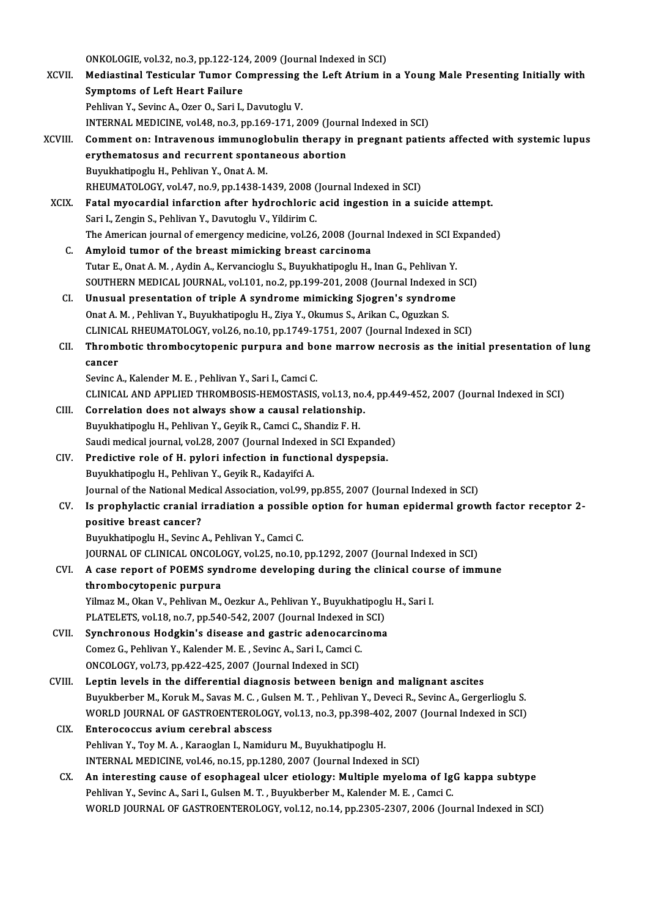ONKOLOGIE, vol.32, no.3, pp.122-124, 2009 (Journal Indexed in SCI)<br>Mediastinal Testisular Tumer Compressing the Left Atrium in XCVII. Mediastinal Testicular Tumor Compressing the Left Atrium in a Young Male Presenting Initially with<br>Symptoms of Left Heart Failure ONKOLOGIE, vol.32, no.3, pp.122-12<br>Mediastinal Testicular Tumor Co<br>Symptoms of Left Heart Failure Pehlivan Y., Sevinc A., Ozer O., Sari I., Davutoglu V. Symptoms of Left Heart Failure<br>Pehlivan Y., Sevinc A., Ozer O., Sari I., Davutoglu V.<br>INTERNAL MEDICINE, vol.48, no.3, pp.169-171, 2009 (Journal Indexed in SCI)<br>Comment on: Intraveneus immuneslebulin thereny in presnant pa XCVIII. Comment on: Intravenous immunoglobulin therapy in pregnant patients affected with systemic lupus INTERNAL MEDICINE, vol.48, no.3, pp.169-171, 2009 (Journ<br>Comment on: Intravenous immunoglobulin therapy is<br>erythematosus and recurrent spontaneous abortion<br>Purukhatiposus H. Boblivon Y. Opat A. M erythematosus and recurrent spontaneous abortion<br>Buyukhatipoglu H., Pehlivan Y., Onat A.M. erythematosus and recurrent spontaneous abortion<br>Buyukhatipoglu H., Pehlivan Y., Onat A. M.<br>RHEUMATOLOGY, vol.47, no.9, pp.1438-1439, 2008 (Journal Indexed in SCI)<br>Eatel myocardial inforstion ofter hydrochloris asid insest Buyukhatipoglu H., Pehlivan Y., Onat A. M.<br>RHEUMATOLOGY, vol.47, no.9, pp.1438-1439, 2008 (Journal Indexed in SCI)<br>XCIX. Fatal myocardial infarction after hydrochloric acid ingestion in a suicide attempt.<br>Seri J. Zongin S. RHEUMATOLOGY, vol.47, no.9, pp.1438-1439, 2008 (<br>Fatal myocardial infarction after hydrochloric<br>Sari I., Zengin S., Pehlivan Y., Davutoglu V., Yildirim C.<br>The American journal of emergengy medicine vol.26 Fatal myocardial infarction after hydrochloric acid ingestion in a suicide attempt.<br>Sari I., Zengin S., Pehlivan Y., Davutoglu V., Yildirim C.<br>The American journal of emergency medicine, vol.26, 2008 (Journal Indexed in SC Sari I., Zengin S., Pehlivan Y., Davutoglu V., Yildirim C.<br>The American journal of emergency medicine, vol.26, 2008 (Journal Indexed in SCI Expanded)<br>C. Amyloid tumor of the breast mimicking breast carcinoma The American journal of emergency medicine, vol.26, 2008 (Journal Indexed in SCI E<br>**Amyloid tumor of the breast mimicking breast carcinoma**<br>Tutar E., Onat A. M. , Aydin A., Kervancioglu S., Buyukhatipoglu H., Inan G., Pehl Amyloid tumor of the breast mimicking breast carcinoma<br>Tutar E., Onat A. M. , Aydin A., Kervancioglu S., Buyukhatipoglu H., Inan G., Pehlivan Y.<br>SOUTHERN MEDICAL JOURNAL, vol.101, no.2, pp.199-201, 2008 (Journal Indexed in Tutar E., Onat A. M., Aydin A., Kervancioglu S., Buyukhatipoglu H., Inan G., Pehlivan Y.<br>SOUTHERN MEDICAL JOURNAL, vol.101, no.2, pp.199-201, 2008 (Journal Indexed in<br>CI. Unusual presentation of triple A syndrome mimicking SOUTHERN MEDICAL JOURNAL, vol.101, no.2, pp.199-201, 2008 (Journal Indexed i<br>Unusual presentation of triple A syndrome mimicking Sjogren's syndrom<br>Onat A. M. , Pehlivan Y., Buyukhatipoglu H., Ziya Y., Okumus S., Arikan C., CI. Unusual presentation of triple A syndrome mimicking Sjogren's syndrome<br>Onat A. M. , Pehlivan Y., Buyukhatipoglu H., Ziya Y., Okumus S., Arikan C., Oguzkan S.<br>CLINICAL RHEUMATOLOGY, vol.26, no.10, pp.1749-1751, 2007 (Jo Onat A. M. , Pehlivan Y., Buyukhatipoglu H., Ziya Y., Okumus S., Arikan C., Oguzkan S.<br>CLINICAL RHEUMATOLOGY, vol.26, no.10, pp.1749-1751, 2007 (Journal Indexed in SCI)<br>CII. Thrombotic thrombocytopenic purpura and bone mar CLINICA<br>Throml<br>cancer Thrombotic thrombocytopenic purpura and bo<br>cancer<br>Sevinc A., Kalender M. E. , Pehlivan Y., Sari I., Camci C.<br>CLINICAL AND APPLIED TUROMPOSIS UEMOSTASIS cancer<br>Sevinc A., Kalender M. E. , Pehlivan Y., Sari I., Camci C.<br>CLINICAL AND APPLIED THROMBOSIS-HEMOSTASIS, vol.13, no.4, pp.449-452, 2007 (Journal Indexed in SCI) Sevinc A., Kalender M. E., Pehlivan Y., Sari I., Camci C.<br>CLINICAL AND APPLIED THROMBOSIS-HEMOSTASIS, vol.13, no.<br>CIII. Correlation does not always show a causal relationship.<br>Purukhatingglu H. Pehlivan Y. Covil: P. Comei CLINICAL AND APPLIED THROMBOSIS-HEMOSTASIS, vol.13, no<br>Correlation does not always show a causal relationship<br>Buyukhatipoglu H., Pehlivan Y., Geyik R., Camci C., Shandiz F. H.<br>Saudi modical journal vol.28, 2007 (Journal In Buyukhatipoglu H., Pehlivan Y., Geyik R., Camci C., Shandiz F. H.<br>Saudi medical journal, vol.28, 2007 (Journal Indexed in SCI Expanded) Buyukhatipoglu H., Pehlivan Y., Geyik R., Camci C., Shandiz F. H.<br>Saudi medical journal, vol.28, 2007 (Journal Indexed in SCI Expanded<br>CIV. Predictive role of H. pylori infection in functional dyspepsia. Saudi medical journal, vol.28, 2007 (Journal Indexed<br>Predictive role of H. pylori infection in functio<br>Buyukhatipoglu H., Pehlivan Y., Geyik R., Kadayifci A.<br>Journal of the National Medical Association vol.00 n Buyukhatipoglu H., Pehlivan Y., Geyik R., Kadayifci A.<br>Journal of the National Medical Association, vol.99, pp.855, 2007 (Journal Indexed in SCI) Buyukhatipoglu H., Pehlivan Y., Geyik R., Kadayifci A.<br>Journal of the National Medical Association, vol.99, pp.855, 2007 (Journal Indexed in SCI)<br>CV. Is prophylactic cranial irradiation a possible option for human epiderma **Journal of the National Mee**<br>Is prophylactic cranial i<br>positive breast cancer?<br>Pumkhatines!u H. Sevine Is prophylactic cranial irradiation a possible<br>positive breast cancer?<br>Buyukhatipoglu H., Sevinc A., Pehlivan Y., Camci C.<br>JOUPNAL OF CLINICAL ONCOLOCY, vel 35, no.10. positive breast cancer?<br>Buyukhatipoglu H., Sevinc A., Pehlivan Y., Camci C.<br>JOURNAL OF CLINICAL ONCOLOGY, vol.25, no.10, pp.1292, 2007 (Journal Indexed in SCI)<br>A sase report of POEMS sundrome developing during the clinical Buyukhatipoglu H., Sevinc A., Pehlivan Y., Camci C.<br>JOURNAL OF CLINICAL ONCOLOGY, vol.25, no.10, pp.1292, 2007 (Journal Indexed in SCI)<br>CVI. A case report of POEMS syndrome developing during the clinical course of immune<br>t **JOURNAL OF CLINICAL ONCOLO**<br>A case report of POEMS syn<br>thrombocytopenic purpura<br><sup>Vilmog</sup> M. Olma V. Boblivon M. A case report of POEMS syndrome developing during the clinical cour<br>thrombocytopenic purpura<br>Yilmaz M., Okan V., Pehlivan M., Oezkur A., Pehlivan Y., Buyukhatipoglu H., Sari I.<br>PLATELETS vol.19 no.7 nn 540 542 2007 (Journa thrombocytopenic purpura<br>Yilmaz M., Okan V., Pehlivan M., Oezkur A., Pehlivan Y., Buyukhatipogl<br>PLATELETS, vol.18, no.7, pp.540-542, 2007 (Journal Indexed in SCI)<br>Synchnonous Hodelin's disease and gestrie adenosarsinome Yilmaz M., Okan V., Pehlivan M., Oezkur A., Pehlivan Y., Buyukhatipoglu<br>PLATELETS, vol.18, no.7, pp.540-542, 2007 (Journal Indexed in SCI)<br>CVII. Synchronous Hodgkin's disease and gastric adenocarcinoma<br>Comer C. Pehlivan Y. PLATELETS, vol.18, no.7, pp.540-542, 2007 (Journal Indexed in<br>Synchronous Hodgkin's disease and gastric adenocarcin<br>Comez G., Pehlivan Y., Kalender M. E. , Sevinc A., Sari I., Camci C.<br>ONCOLOCY vol.73, pp.422, 425, 2007 (J Synchronous Hodgkin's disease and gastric adenocarcii<br>Comez G., Pehlivan Y., Kalender M. E. , Sevinc A., Sari I., Camci C.<br>ONCOLOGY, vol.73, pp.422-425, 2007 (Journal Indexed in SCI)<br>Lontin lovels in the differential disen ONCOLOGY, vol.73, pp.422-425, 2007 (Journal Indexed in SCI)<br>CVIII. Leptin levels in the differential diagnosis between benign and malignant ascites Buyukberber M., Koruk M., Savas M. C., Gulsen M. T., Pehlivan Y., Deveci R., Sevinc A., Gergerlioglu S. Leptin levels in the differential diagnosis between benign and malignant ascites<br>Buyukberber M., Koruk M., Savas M. C. , Gulsen M. T. , Pehlivan Y., Deveci R., Sevinc A., Gergerlioglu S.<br>WORLD JOURNAL OF GASTROENTEROLOGY, CIX. Enterococcus avium cerebral abscess<br>Pehlivan Y., Toy M. A., Karaoglan I., Namiduru M., Buyukhatipoglu H. WORLD JOURNAL OF GASTROENTEROLOGY, vol.13, no.3, pp.398-402<br>Enterococcus avium cerebral abscess<br>Pehlivan Y., Toy M. A. , Karaoglan I., Namiduru M., Buyukhatipoglu H.<br>INTERNAL MEDICINE vol.46, no.15, nn.1290, 2007 (Journal INTERNAL MEDICINE, vol.46, no.15, pp.1280, 2007 (Journal Indexed in SCI) CX. An interesting cause of esophageal ulcer etiology: Multiple myeloma of IgG kappa subtype Pehlivan Y., Sevinc A., Sari I., Gulsen M. T., Buyukberber M., Kalender M. E., Camci C. WORLD JOURNAL OF GASTROENTEROLOGY, vol.12, no.14, pp.2305-2307, 2006 (Journal Indexed in SCI)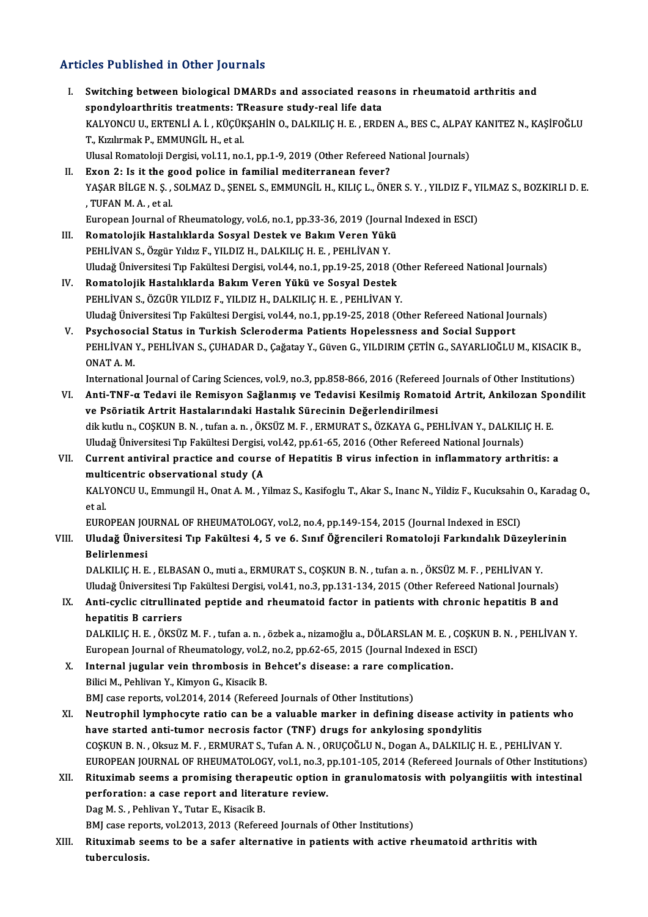# Articles Published in Other Journals

| <b>Articles Published in Other Journals</b> |                                                                                                                                                                                                                                                                                                             |
|---------------------------------------------|-------------------------------------------------------------------------------------------------------------------------------------------------------------------------------------------------------------------------------------------------------------------------------------------------------------|
| L.                                          | Switching between biological DMARDs and associated reasons in rheumatoid arthritis and<br>spondyloarthritis treatments: TReasure study-real life data<br>KALYONCU U., ERTENLİ A. İ., KÜÇÜKŞAHİN O., DALKILIÇ H. E., ERDEN A., BES C., ALPAY KANITEZ N., KAŞİFOĞLU<br>T., Kızılırmak P., EMMUNGİL H., et al. |
|                                             | Ulusal Romatoloji Dergisi, vol.11, no.1, pp.1-9, 2019 (Other Refereed National Journals)                                                                                                                                                                                                                    |
| П.                                          | Exon 2: Is it the good police in familial mediterranean fever?<br>YAŞAR BİLGE N. Ş., SOLMAZ D., ŞENEL S., EMMUNGİL H., KILIÇ L., ÖNER S. Y., YILDIZ F., YILMAZ S., BOZKIRLI D. E.<br>, TUFAN M.A., et al.                                                                                                   |
|                                             | European Journal of Rheumatology, vol.6, no.1, pp.33-36, 2019 (Journal Indexed in ESCI)                                                                                                                                                                                                                     |
| III.                                        | Romatolojik Hastalıklarda Sosyal Destek ve Bakım Veren Yükü                                                                                                                                                                                                                                                 |
|                                             | PEHLİVAN S., Özgür Yıldız F., YILDIZ H., DALKILIÇ H. E., PEHLİVAN Y.<br>Uludağ Üniversitesi Tıp Fakültesi Dergisi, vol.44, no.1, pp.19-25, 2018 (Other Refereed National Journals)                                                                                                                          |
| IV.                                         | Romatolojik Hastalıklarda Bakım Veren Yükü ve Sosyal Destek                                                                                                                                                                                                                                                 |
|                                             | PEHLİVAN S., ÖZGÜR YILDIZ F., YILDIZ H., DALKILIÇ H. E., PEHLİVAN Y.                                                                                                                                                                                                                                        |
|                                             | Uludağ Üniversitesi Tıp Fakültesi Dergisi, vol.44, no.1, pp.19-25, 2018 (Other Refereed National Journals)                                                                                                                                                                                                  |
| V.                                          | Psychosocial Status in Turkish Scleroderma Patients Hopelessness and Social Support                                                                                                                                                                                                                         |
|                                             | PEHLIVAN Y., PEHLIVAN S., ÇUHADAR D., Çağatay Y., Güven G., YILDIRIM ÇETİN G., SAYARLIOĞLU M., KISACIK B.,<br>ONAT A M                                                                                                                                                                                      |
|                                             | International Journal of Caring Sciences, vol.9, no.3, pp.858-866, 2016 (Refereed Journals of Other Institutions)                                                                                                                                                                                           |
| VI.                                         | Anti-TNF-a Tedavi ile Remisyon Sağlanmış ve Tedavisi Kesilmiş Romatoid Artrit, Ankilozan Spondilit                                                                                                                                                                                                          |
|                                             | ve Psöriatik Artrit Hastalarındaki Hastalık Sürecinin Değerlendirilmesi                                                                                                                                                                                                                                     |
|                                             | dik kutlu n., COŞKUN B. N., tufan a. n., ÖKSÜZ M. F., ERMURAT S., ÖZKAYA G., PEHLİVAN Y., DALKILIÇ H. E.                                                                                                                                                                                                    |
|                                             | Uludağ Üniversitesi Tıp Fakültesi Dergisi, vol.42, pp.61-65, 2016 (Other Refereed National Journals)                                                                                                                                                                                                        |
| VII.                                        | Current antiviral practice and course of Hepatitis B virus infection in inflammatory arthritis: a                                                                                                                                                                                                           |
|                                             | multicentric observational study (A<br>KALYONCU U., Emmungil H., Onat A. M., Yilmaz S., Kasifoglu T., Akar S., Inanc N., Yildiz F., Kucuksahin O., Karadag O.,<br>et al.                                                                                                                                    |
|                                             | EUROPEAN JOURNAL OF RHEUMATOLOGY, vol.2, no.4, pp.149-154, 2015 (Journal Indexed in ESCI)                                                                                                                                                                                                                   |
| VIII.                                       | Uludağ Üniversitesi Tıp Fakültesi 4, 5 ve 6. Sınıf Öğrencileri Romatoloji Farkındalık Düzeylerinin<br>Belirlenmesi                                                                                                                                                                                          |
|                                             | DALKILIÇ H. E., ELBASAN O., muti a., ERMURAT S., COŞKUN B. N., tufan a. n., ÖKSÜZ M. F., PEHLİVAN Y.                                                                                                                                                                                                        |
|                                             | Uludağ Üniversitesi Tıp Fakültesi Dergisi, vol.41, no.3, pp.131-134, 2015 (Other Refereed National Journals)                                                                                                                                                                                                |
| IX.                                         | Anti-cyclic citrullinated peptide and rheumatoid factor in patients with chronic hepatitis B and<br>hepatitis B carriers                                                                                                                                                                                    |
|                                             | DALKILIÇ H. E., ÖKSÜZ M. F., tufan a. n., özbek a., nizamoğlu a., DÖLARSLAN M. E., COŞKUN B. N., PEHLİVAN Y.                                                                                                                                                                                                |
|                                             | European Journal of Rheumatology, vol.2, no.2, pp.62-65, 2015 (Journal Indexed in ESCI)                                                                                                                                                                                                                     |
| Х.                                          | Internal jugular vein thrombosis in Behcet's disease: a rare complication.                                                                                                                                                                                                                                  |
|                                             | Bilici M., Pehlivan Y., Kimyon G., Kisacik B.                                                                                                                                                                                                                                                               |
|                                             | BMJ case reports, vol.2014, 2014 (Refereed Journals of Other Institutions)                                                                                                                                                                                                                                  |
| XI.                                         | Neutrophil lymphocyte ratio can be a valuable marker in defining disease activity in patients who<br>have started anti-tumor necrosis factor (TNF) drugs for ankylosing spondylitis                                                                                                                         |
|                                             | COȘKUN B. N., Oksuz M. F., ERMURAT S., Tufan A. N., ORUÇOĞLU N., Dogan A., DALKILIÇ H. E., PEHLİVAN Y.                                                                                                                                                                                                      |
|                                             | EUROPEAN JOURNAL OF RHEUMATOLOGY, vol.1, no.3, pp.101-105, 2014 (Refereed Journals of Other Institutions)                                                                                                                                                                                                   |
| XII.                                        | Rituximab seems a promising therapeutic option in granulomatosis with polyangiitis with intestinal                                                                                                                                                                                                          |
|                                             | perforation: a case report and literature review.                                                                                                                                                                                                                                                           |
|                                             | Dag M. S., Pehlivan Y., Tutar E., Kisacik B.                                                                                                                                                                                                                                                                |
|                                             | BMJ case reports, vol.2013, 2013 (Refereed Journals of Other Institutions)                                                                                                                                                                                                                                  |
| XIII.                                       | Rituximab seems to be a safer alternative in patients with active rheumatoid arthritis with<br>tuberculosis.                                                                                                                                                                                                |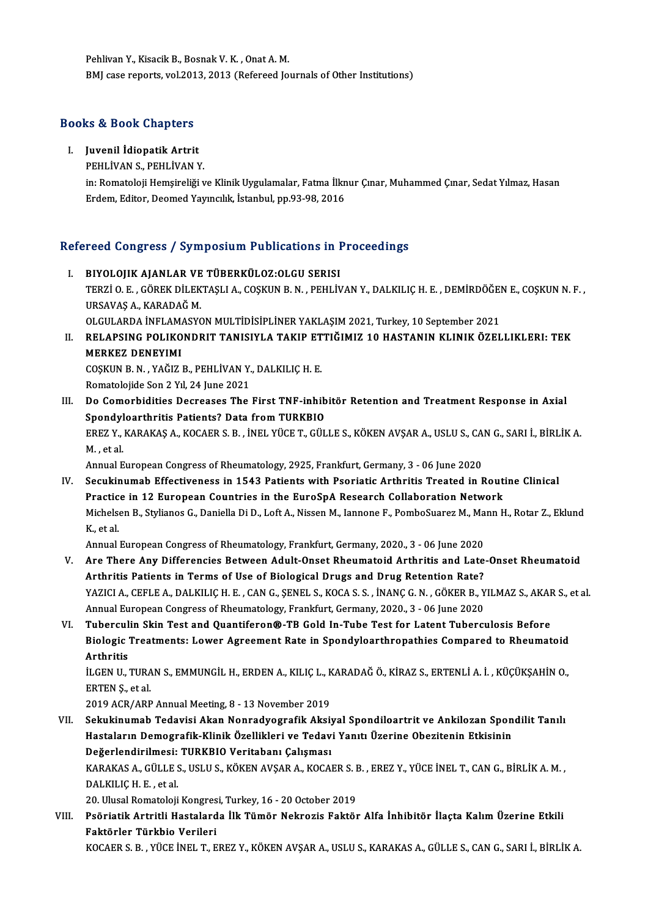Pehlivan Y., Kisacik B., Bosnak V. K., Onat A. M. BMJ case reports, vol.2013, 2013 (Refereed Journals of Other Institutions)

# вмј case reports, vol.201<br>Books & Book Chapters

OO<mark>ks & Book Chapters</mark><br>I. Juvenil İdiopatik Artrit<br>PEHLİVAN S. PEHLİVAN N I. Juvenil İdiopatik Artrit<br>PEHLİVAN S., PEHLİVAN Y.

Juvenil İdiopatik Artrit<br>PEHLİVAN S., PEHLİVAN Y.<br>in: Romatoloji Hemşireliği ve Klinik Uygulamalar, Fatma İlknur Çınar, Muhammed Çınar, Sedat Yılmaz, Hasan<br>Erdam, Editar, Deamed Yayıncılık, İstanbul, pp.93,99,2016. PEHLİVAN S., PEHLİVAN Y.<br>in: Romatoloji Hemşireliği ve Klinik Uygulamalar, Fatma İlkn<br>Erdem, Editor, Deomed Yayıncılık, İstanbul, pp.93-98, 2016

# erdem, Editor, Deomed Yayınclik, İstanbul, pp.93-98, 2016<br>Refereed Congress / Symposium Publications in Proceedings

- efereed Congress / Symposium Publications in I.<br>I. BIYOLOJIK AJANLAR VE TÜBERKÜLOZ:OLGU SERISI TERZİ O. E. , GÖREK DİLEKTAŞLI A., COŞKUN B. N. , PEHLİVAN Y., DALKILIÇ H. E. , DEMİRDÖĞEN E., COŞKUN N. F. ,<br>URSAVAS A.. KARADAĞ M. I. BIYOLOJIK AJANLAR VE TÜBERKÜLOZ: OLGU SERISI TERZİ O. E. , GÖREK DİLEKTAŞLI A., COŞKUN B. N. , PEHLİVAN Y., DALKILIÇ H. E. , DEMİRDÖĞEI<br>URSAVAŞ A., KARADAĞ M.<br>OLGULARDA İNFLAMASYON MULTİDİSİPLİNER YAKLAŞIM 2021, Turkey, 10 September 2021<br>PELARSING POLIKONDRIT TANISIY URSAVAŞ A., KARADAĞ M.<br>OLGULARDA İNFLAMASYON MULTİDİSİPLİNER YAKLAŞIM 2021, Turkey, 10 September 2021<br>II. RELAPSING POLIKONDRIT TANISIYLA TAKIP ETTIĞIMIZ 10 HASTANIN KLINIK ÖZELLIKLERI: TEK<br>MERKEZ DENEVIMI
- OLGULARDA İNFLAM<br>RELAPSING POLIKO<br>MERKEZ DENEYIMI<br>COSYUN B.N. YAĞIZI RELAPSING POLIKONDRIT TANISIYLA TAKIP ET<br>MERKEZ DENEYIMI<br>COŞKUN B.N., YAĞIZ B., PEHLİVAN Y., DALKILIÇ H. E.<br>Pomatolojide Son 2 Yıl 24 June 2021 MERKEZ DENEYIMI<br>COŞKUN B. N. , YAĞIZ B., PEHLİVAN Y., DALKILIÇ H. E.<br>Romatolojide Son 2 Yıl, 24 June 2021 COȘKUN B. N. , YAĞIZ B., PEHLİVAN Y., DALKILIÇ H. E.<br>Romatolojide Son 2 Yıl, 24 June 2021<br>III. Do Comorbidities Decreases The First TNF-inhibitör Retention and Treatment Response in Axial<br>Spondylearthritis Batiante? Data f
- Romatolojide Son 2 Yıl, 24 June 2021<br>Do Comorbidities Decreases The First TNF-inhib<br>Spondyloarthritis Patients? Data from TURKBIO<br>FREZ V. KARAKAS A, KOCAER S. R. İNEL VÜCE T. CÜL Do Comorbidities Decreases The First TNF-inhibitör Retention and Treatment Response in Axial<br>Spondyloarthritis Patients? Data from TURKBIO<br>EREZ Y., KARAKAŞ A., KOCAER S. B. , İNEL YÜCE T., GÜLLE S., KÖKEN AVŞAR A., USLU S. Spondyloarthritis Patients? Data from TURKBIO<br>EREZ Y., KARAKAŞ A., KOCAER S. B. , İNEL YÜCE T., GÜLLE S., KÖKEN AVŞAR A., USLU S., CA<br>M., et al.<br>Annual European Congress of Rheumatology, 2925, Frankfurt, Germany, 3 - 06 Ju EREZ Y., KARAKAŞ A., KOCAER S. B. , İNEL YÜCE T., GÜLLE S., KÖKEN AVŞAR A., USLU S., CAN G., SARI İ., BİRLİK A.

M. , et al.<br>Annual European Congress of Rheumatology, 2925, Frankfurt, Germany, 3 - 06 June 2020<br>IV. Secukinumab Effectiveness in 1543 Patients with Psoriatic Arthritis Treated in Routine Clinical<br>Prestice in 12 European C Annual European Congress of Rheumatology, 2925, Frankfurt, Germany, 3 - 06 June 2020<br>Secukinumab Effectiveness in 1543 Patients with Psoriatic Arthritis Treated in Rout<br>Practice in 12 European Countries in the EuroSpA Rese Secukinumab Effectiveness in 1543 Patients with Psoriatic Arthritis Treated in Routine Clinical<br>Practice in 12 European Countries in the EuroSpA Research Collaboration Network<br>Michelsen B., Stylianos G., Daniella Di D., Lo Practic<br>Michels<br>K., et al. Michelsen B., Stylianos G., Daniella Di D., Loft A., Nissen M., Iannone F., PomboSuarez M., Ma<br>K., et al.<br>Annual European Congress of Rheumatology, Frankfurt, Germany, 2020., 3 - 06 June 2020<br>Are There Any Differencies Pet K., et al.<br>Annual European Congress of Rheumatology, Frankfurt, Germany, 2020., 3 - 06 June 2020<br>V. Are There Any Differencies Between Adult-Onset Rheumatoid Arthritis and Late-Onset Rheumatoid

- Annual European Congress of Rheumatology, Frankfurt, Germany, 2020., 3 06 June 2020<br>Are There Any Differencies Between Adult-Onset Rheumatoid Arthritis and Late<br>Arthritis Patients in Terms of Use of Biological Drugs and YAZICI A., CEFLE A., DALKILIÇ H. E. , CAN G., ŞENEL S., KOCA S. S. , İNANÇ G. N. , GÖKER B., YILMAZ S., AKAR S., et al.<br>Annual European Congress of Rheumatology, Frankfurt, Germany, 2020., 3 - 06 June 2020 Arthritis Patients in Terms of Use of Biological Drugs and Drug Retention Rate?<br>YAZICI A., CEFLE A., DALKILIÇ H. E. , CAN G., ŞENEL S., KOCA S. S. , İNANÇ G. N. , GÖKER B., Y<br>Annual European Congress of Rheumatology, Frank YAZICI A., CEFLE A., DALKILIÇ H. E. , CAN G., ŞENEL S., KOCA S. S. , İNANÇ G. N. , GÖKER B., YILMAZ S., AKAF<br>Annual European Congress of Rheumatology, Frankfurt, Germany, 2020., 3 - 06 June 2020<br>VI. Tuberculin Skin Test an
- Annual European Congress of Rheumatology, Frankfurt, Germany, 2020., 3 06 June 2020<br>Tuberculin Skin Test and Quantiferon®-TB Gold In-Tube Test for Latent Tuberculosis Before<br>Biologic Treatments: Lower Agreement Rate in S Tubercul<br>Biologic<br>Arthritis<br>it CEN U Biologic Treatments: Lower Agreement Rate in Spondyloarthropathies Compared to Rheumatoid<br>Arthritis<br>İLGEN U., TURAN S., EMMUNGİL H., ERDEN A., KILIÇ L., KARADAĞ Ö., KİRAZ S., ERTENLİ A. İ. , KÜÇÜKŞAHİN O.,<br>ERTEN S. et al

Arthritis<br>İLGEN U., TURA<br>ERTEN Ş., et al.<br>2019 ACB (ABB iLGEN U., TURAN S., EMMUNGIL H., ERDEN A., KILIÇ L., K<br>ERTEN Ş., et al.<br>2019 ACR/ARP Annual Meeting, 8 - 13 November 2019<br>Sekukinumab Tedevisi Akan Nonradyografik Akai

- ERTEN Ş., et al.<br>2019 ACR/ARP Annual Meeting, 8 13 November 2019<br>VII. Sekukinumab Tedavisi Akan Nonradyografik Aksiyal Spondiloartrit ve Ankilozan Spondilit Tanılı<br>Hastaların Demesrafik Klinik Özellikleri ve Tedavi Y 2019 ACR/ARP Annual Meeting, 8 - 13 November 2019<br>Sekukinumab Tedavisi Akan Nonradyografik Aksiyal Spondiloartrit ve Ankilozan Spon<br>Hastaların Demografik-Klinik Özellikleri ve Tedavi Yanıtı Üzerine Obezitenin Etkisinin<br>Peğ Sekukinumab Tedavisi Akan Nonradyografik Aksiy<br>Hastaların Demografik-Klinik Özellikleri ve Tedav<br>Değerlendirilmesi: TURKBIO Veritabanı Çalışması<br>KARAKAS A CÜLLES HELLS KÖKEN AKSAR A KOSAL Hastaların Demografik-Klinik Özellikleri ve Tedavi Yanıtı Üzerine Obezitenin Etkisinin<br>Değerlendirilmesi: TURKBIO Veritabanı Çalışması<br>KARAKAS A., GÜLLE S., USLU S., KÖKEN AVŞAR A., KOCAER S. B. , EREZ Y., YÜCE İNEL T., CA De<mark>ğerlendirilmesi:</mark><br>KARAKAS A., GÜLLE S<br>DALKILIÇ H. E. , et al.<br>20. Ulusal Barnstalaii KARAKAS A., GÜLLE S., USLU S., KÖKEN AVŞAR A., KOCAER S. I<br>DALKILIÇ H. E. , et al.<br>20. Ulusal Romatoloji Kongresi, Turkey, 16 - 20 October 2019<br>Beğristik Artritli Hastalarda İlk Tümör Nakrosis Faktör DALKILIÇ H. E. , et al.<br>20. Ulusal Romatoloji Kongresi, Turkey, 16 - 20 October 2019<br>VIII. Psöriatik Artritli Hastalarda İlk Tümör Nekrozis Faktör Alfa İnhibitör İlaçta Kalım Üzerine Etkili<br>Faktörler Türkkie Verileri
- 20. Ulusal Romatoloji Kongres<br>Psöriatik Artritli Hastalard<br>Faktörler Türkbio Verileri<br>KOCAERS R. VÜCE İNELT E Faktörler Türkbio Verileri<br>KOCAER S. B. , YÜCE İNEL T., EREZ Y., KÖKEN AVŞAR A., USLU S., KARAKAS A., GÜLLE S., CAN G., SARI İ., BİRLİK A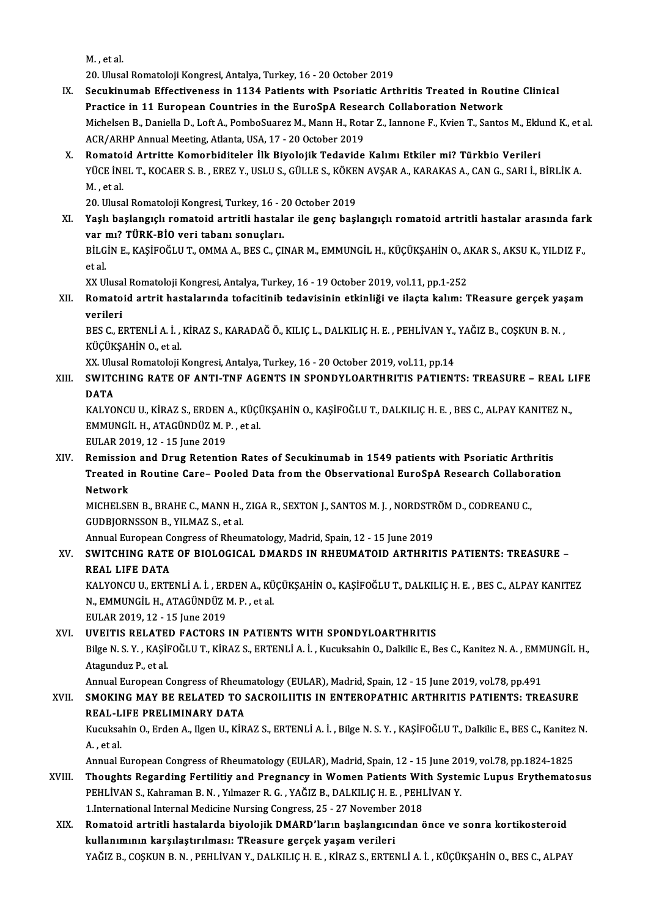M. ,etal.

20. Ulusal Romatoloji Kongresi, Antalya, Turkey, 16 - 20 October 2019

- M. , et al.<br>20. Ulusal Romatoloji Kongresi, Antalya, Turkey, 16 20 October 2019<br>IX. Secukinumab Effectiveness in 1134 Patients with Psoriatic Arthritis Treated in Routine Clinical<br>Russiac in 11 European Countries in the 20. Ulusal Romatoloji Kongresi, Antalya, Turkey, 16 - 20 October 2019<br>Secukinumab Effectiveness in 1134 Patients with Psoriatic Arthritis Treated in Rout<br>Practice in 11 European Countries in the EuroSpA Research Collaborat Secukinumab Effectiveness in 1134 Patients with Psoriatic Arthritis Treated in Routine Clinical<br>Practice in 11 European Countries in the EuroSpA Research Collaboration Network<br>Michelsen B., Daniella D., Loft A., PomboSuare Practice in 11 European Countries in the EuroSpA Resea<br>Michelsen B., Daniella D., Loft A., PomboSuarez M., Mann H., Rota<br>ACR/ARHP Annual Meeting, Atlanta, USA, 17 - 20 October 2019<br>Pomatoid Artritte Komerhiditeler <sup>ilk</sup> Pi Michelsen B., Daniella D., Loft A., PomboSuarez M., Mann H., Rotar Z., Iannone F., Kvien T., Santos M., Eklu<br>ACR/ARHP Annual Meeting, Atlanta, USA, 17 - 20 October 2019<br>X. Romatoid Artritte Komorbiditeler İlk Biyolojik Ted
- ACR/ARHP Annual Meeting, Atlanta, USA, 17 20 October 2019<br>Romatoid Artritte Komorbiditeler İlk Biyolojik Tedavide Kalımı Etkiler mi? Türkbio Verileri<br>YÜCE İNEL T., KOCAER S. B. , EREZ Y., USLU S., GÜLLE S., KÖKEN AVŞAR A Romato<br>YÜCE İNI<br>M. , et al.<br>20. Ulusa

20. Ulusal Romatoloji Kongresi, Turkey, 16 - 20 October 2019

M. , et al.<br>20. Ulusal Romatoloji Kongresi, Turkey, 16 - 20 October 2019<br>XI. Yaşlı başlangıçlı romatoid artritli hastalar ile genç başlangıçlı romatoid artritli hastalar arasında fark<br>xor mı<sup>ş Tüpk</sub> BİQ vori tabarı son</sup> 20. Ulusal Romatoloji Kongresi, Turkey, 16 - 2<br>Yaşlı başlangıçlı romatoid artritli hastal:<br>var mı? TÜRK-BİO veri tabanı sonuçları.<br>PU CNE KASİFOĞLUT OMMAA BESS SI Yaşlı başlangıçlı romatoid artritli hastalar ile genç başlangıçlı romatoid artritli hastalar arasında far<br>var mı? TÜRK-BİO veri tabanı sonuçları.<br>BİLGİN E., KAŞİFOĞLU T., OMMA A., BES C., ÇINAR M., EMMUNGİL H., KÜÇÜKŞAHİN

<mark>var</mark><br>BİLG<br>et al.<br>vv u BİLGİN E., KAŞİFOĞLU T., OMMA A., BES C., ÇINAR M., EMMUNGİL H., KÜÇÜKŞAHİN O., A<br>et al.<br>XX Ulusal Romatoloji Kongresi, Antalya, Turkey, 16 - 19 October 2019, vol.11, pp.1-252<br>Bomatoid artrit bastalarında tafasitinib taday

et al.<br>XX Ulusal Romatoloji Kongresi, Antalya, Turkey, 16 - 19 October 2019, vol.11, pp.1-252<br>XII. Romatoid artrit hastalarında tofacitinib tedavisinin etkinliği ve ilaçta kalım: TReasure gerçek yaşam<br>vorileri XX Ulusal Romatoloji Kongresi, Antalya, Turkey, 16 - 19 October 2019, vol.11, pp.1-252<br>Romatoid artrit hastalarında tofacitinib tedavisinin etkinliği ve ilaçta kalım: TReasure gerçek yaş<br>verileri<br>BES C., ERTENLİ A. İ. , Kİ Romatoid artrit hastalarında tofacitinib tedavisinin etkinliği ve ilaçta kalım: TReasure gerçek yaş<br>verileri<br>BES C., ERTENLİ A. İ. , KİRAZ S., KARADAĞ Ö., KILIÇ L., DALKILIÇ H. E. , PEHLİVAN Y., YAĞIZ B., COŞKUN B. N. ,<br>KÜ

KÜÇÜKŞAHİN O., et al. BES C., ERTENLİ A. İ. , KİRAZ S., KARADAĞ Ö., KILIÇ L., DALKILIÇ H. E. , PEHLİVAN Y.,<br>KÜÇÜKŞAHİN O., et al.<br>XX. Ulusal Romatoloji Kongresi, Antalya, Turkey, 16 - 20 October 2019, vol.11, pp.14<br>SWITCHING BATE OF ANTI TNE AC

XIII. SWITCHING RATE OF ANTI-TNF AGENTS IN SPONDYLOARTHRITIS PATIENTS: TREASURE – REAL LIFE<br>DATA XX. Ulu:<br>SWITC<br>DATA<br>KALVO SWITCHING RATE OF ANTI-TNF AGENTS IN SPONDYLOARTHRITIS PATIENTS: TREASURE – REAL L<br>DATA<br>KALYONCU U., KİRAZ S., ERDEN A., KÜÇÜKŞAHİN O., KAŞİFOĞLU T., DALKILIÇ H. E. , BES C., ALPAY KANITEZ N.,<br>EMMUNCU H. ATAÇÜNDÜZ M. B. et

DATA<br>KALYONCU U., KİRAZ S., ERDEN A., KÜÇİ<br>EMMUNGİL H., ATAGÜNDÜZ M. P. , et al.<br>EULAR 2019, 12, .15 June 2019 KALYONCU U., KİRAZ S., ERDEN<br>EMMUNGİL H., ATAGÜNDÜZ M. F<br>EULAR 2019, 12 - 15 June 2019<br>Bemission and Drug Betantis

EMMUNGIL H., ATAGÜNDÜZ M. P. , et al.<br>EULAR 2019, 12 - 15 June 2019<br>XIV. Remission and Drug Retention Rates of Secukinumab in 1549 patients with Psoriatic Arthritis<br>Treated in Poutine Care, Booled Date from the Observation EULAR 2019, 12 - 15 June 2019<br>Remission and Drug Retention Rates of Secukinumab in 1549 patients with Psoriatic Arthritis<br>Treated in Routine Care– Pooled Data from the Observational EuroSpA Research Collaboration<br>Network Remissio<br>Treated i<br>Network<br>MCHELSE Treated in Routine Care– Pooled Data from the Observational EuroSpA Research Collabor<br>Network<br>MICHELSEN B., BRAHE C., MANN H., ZIGA R., SEXTON J., SANTOS M. J. , NORDSTRÖM D., CODREANU C.,<br>CUDBIOBNSSON B. XII MAZ S. et al

Network<br>MICHELSEN B., BRAHE C., MANN H.,<br>GUDBJORNSSON B., YILMAZ S., et al.<br>Annual Euronean Congress of Bhou. MICHELSEN B., BRAHE C., MANN H., ZIGA R., SEXTON J., SANTOS M. J. , NORDSTR<br>GUDBJORNSSON B., YILMAZ S., et al.<br>Annual European Congress of Rheumatology, Madrid, Spain, 12 - 15 June 2019<br>SWITCHING BATE OF BIOLOGICAL DMARDS

## GUDBJORNSSON B., YILMAZ S., et al.<br>Annual European Congress of Rheumatology, Madrid, Spain, 12 - 15 June 2019<br>XV. SWITCHING RATE OF BIOLOGICAL DMARDS IN RHEUMATOID ARTHRITIS PATIENTS: TREASURE –<br>REAL LIEE DATA Annual European C<mark>o</mark><br>SWITCHING RATE<br>REAL LIFE DATA<br>KALVONCU U EPTE

REAL LIFE DATA<br>KALYONCU U., ERTENLİ A. İ. , ERDEN A., KÜÇÜKŞAHİN O., KAŞİFOĞLU T., DALKILIÇ H. E. , BES C., ALPAY KANITEZ REAL LIFE DATA<br>KALYONCU U., ERTENLÌ A. İ. , ERDEN A., KÜ<br>N., EMMUNGİL H., ATAGÜNDÜZ M. P. , et al.<br>EULAR 2010-12 - 15 June 2010 KALYONCU U., ERTENLÌ A. İ. , ER<br>N., EMMUNGİL H., ATAGÜNDÜZ I<br>EULAR 2019, 12 - 15 June 2019<br>UVELTIS PELATED EACTOPS

### EULAR 2019, 12 - 15 June 2019<br>XVI. UVEITIS RELATED FACTORS IN PATIENTS WITH SPONDYLOARTHRITIS

EULAR 2019, 12 - 15 June 2019<br>UVEITIS RELATED FACTORS IN PATIENTS WITH SPONDYLOARTHRITIS<br>Bilge N. S. Y. , KAŞİFOĞLU T., KİRAZ S., ERTENLİ A. İ. , Kucuksahin O., Dalkilic E., Bes C., Kanitez N. A. , EMMUNGİL H.,<br>Atasundus B **UVEITIS RELATE<br>Bilge N. S. Y. , KAŞİI<br>Atagunduz P., et al.**<br>Annual Euronean G Bilge N. S. Y. , KAŞİFOĞLU T., KİRAZ S., ERTENLİ A. İ. , Kucuksahin O., Dalkilic E., Bes C., Kanitez N. A. , EMM<br>Atagunduz P., et al.<br>Annual European Congress of Rheumatology (EULAR), Madrid, Spain, 12 - 15 June 2019, vol.

### Atagunduz P., et al.<br>Annual European Congress of Rheumatology (EULAR), Madrid, Spain, 12 - 15 June 2019, vol.78, pp.491<br>XVII. SMOKING MAY BE RELATED TO SACROILIITIS IN ENTEROPATHIC ARTHRITIS PATIENTS: TREASURE<br>REAL LIEE RR Annual European Congress of Rheun<br>SMOKING MAY BE RELATED TO S<br>REAL-LIFE PRELIMINARY DATA<br>Kugukaabin O, Erdan A, Haan II, Kip SMOKING MAY BE RELATED TO SACROILIITIS IN ENTEROPATHIC ARTHRITIS PATIENTS: TREASURE<br>REAL-LIFE PRELIMINARY DATA<br>Kucuksahin O., Erden A., Ilgen U., KİRAZ S., ERTENLİ A. İ. , Bilge N. S. Y. , KAŞİFOĞLU T., Dalkilic E., BES C.

REAL-L<br>Kucuksa<br>A. , et al.<br>Annual E Kucuksahin O., Erden A., Ilgen U., KİRAZ S., ERTENLİ A. İ. , Bilge N. S. Y. , KAŞİFOĞLU T., Dalkilic E., BES C., Kanitez<br>A. , et al.<br>Annual European Congress of Rheumatology (EULAR), Madrid, Spain, 12 - 15 June 2019, vol.7

- A., et al.<br>Annual European Congress of Rheumatology (EULAR), Madrid, Spain, 12 15 June 2019, vol.78, pp.1824-1825<br>XVIII. Thoughts Regarding Fertilitiy and Pregnancy in Women Patients With Systemic Lupus Erythematosus Annual European Congress of Rheumatology (EULAR), Madrid, Spain, 12 - 15 June 2019, vol.78, pp.1824-1825<br>Thoughts Regarding Fertilitiy and Pregnancy in Women Patients With Systemic Lupus Erythemato<br>PEHLİVAN S., Kahraman B. Thoughts Regarding Fertilitiy and Pregnancy in Women Patients Wit<br>PEHLİVAN S., Kahraman B. N. , Yılmazer R. G. , YAĞIZ B., DALKILIÇ H. E. , PEHI<br>1.International Internal Medicine Nursing Congress, 25 - 27 November 2018<br>Bom
- XIX. Romatoid artritli hastalarda biyolojik DMARD'ların başlangıcından önce ve sonra kortikosteroid kullanımının karşılaştırılması: TReasure gerçek yaşam verileri YAĞIZ B., COŞKUN B. N. , PEHLİVAN Y., DALKILIÇ H. E. , KİRAZ S., ERTENLİ A. İ. , KÜÇÜKŞAHİN O., BES C., ALPAY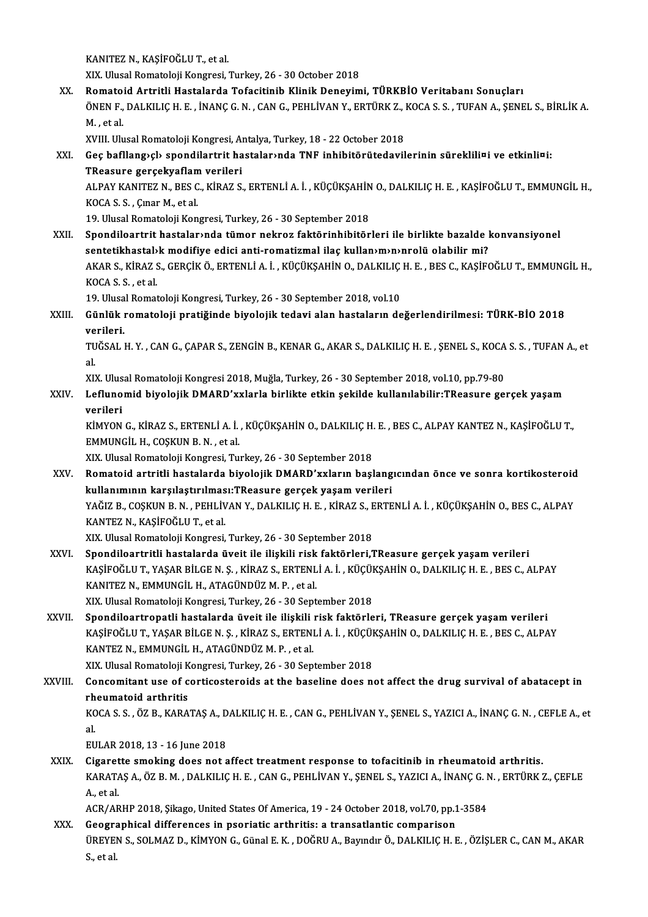KANITEZ N., KAŞİFOĞLU T., et al.

XIX. Ulusal Romatoloji Kongresi, Turkey, 26 - 30 October 2018

XANITEZ N., KAŞİFOĞLU T., et al.<br>XIX. Ulusal Romatoloji Kongresi, Turkey, 26 - 30 October 2018<br>XX. Romatoid Artritli Hastalarda Tofacitinib Klinik Deneyimi, TÜRKBİO Veritabanı Sonuçları<br>ÖNEN E. DALKU IC H. E. İNANC C. XIX. Ulusal Romatoloji Kongresi, Turkey, 26 - 30 October 2018<br><mark>Romatoid Artritli Hastalarda Tofacitinib Klinik Deneyimi, TÜRKBİO Veritabanı Sonuçları</mark><br>ÖNEN F., DALKILIÇ H. E. , İNANÇ G. N. , CAN G., PEHLİVAN Y., ERTÜRK Z., Romato<br>ÖNEN F.,<br>M. , et al.<br>YVIII. Ub. ÖNEN F., DALKILIÇ H. E. , İNANÇ G. N. , CAN G., PEHLİVAN Y., ERTÜRK Z., <mark>.</mark><br>M. , et al.<br>XVIII. Ulusal Romatoloji Kongresi, Antalya, Turkey, 18 - 22 October 2018<br>Ces hafllangıslı spendilertrit hastalarında TNE inhibitörüted

M. , et al.<br>XVIII. Ulusal Romatoloji Kongresi, Antalya, Turkey, 18 - 22 October 2018<br>XXI. Geç bafllang›çl› spondilartrit hastalar›nda TNF inhibitörütedavilerinin süreklili¤i ve etkinli¤i:<br>TPessure sersekvaflam veriler XVIII. Ulusal Romatoloji Kongresi, Al<br>Geç bafllang>çl> spondilartrit ha<br>TReasure gerçekyaflam verileri<br>ALBAY KANITEZ N. BES C. KİBAZ S Geç bafllang›çl› spondilartrit hastalar›nda TNF inhibitörütedavilerinin süreklili¤i ve etkinli¤i:<br>TReasure gerçekyaflam verileri<br>ALPAY KANITEZ N., BES C., KİRAZ S., ERTENLİ A. İ. , KÜÇÜKŞAHİN O., DALKILIÇ H. E. , KAŞİFOĞLU TReasure gerçekyaflam<br>ALPAY KANITEZ N., BES C<br>KOCA S. S. , Çınar M., et al.<br>19 Ulucal Bornatalaji Kon ALPAY KANITEZ N., BES C., KİRAZ S., ERTENLİ A. İ. , KÜÇÜKŞAHİN<br>KOCA S. S. , Çınar M., et al.<br>19. Ulusal Romatoloji Kongresi, Turkey, 26 - 30 September 2018<br>Spondileartrit bestelarında tümer nekrez faktörinbibitör

KOCA S. S. , Çınar M., et al.<br>19. Ulusal Romatoloji Kongresi, Turkey, 26 - 30 September 2018<br>XXII. Spondiloartrit hastalar›nda tümor nekroz faktörinhibitörleri ile birlikte bazalde konvansiyonel<br>sontatikhastalık medifiye e 19. Ulusal Romatoloji Kongresi, Turkey, 26 - 30 September 2018<br>Spondiloartrit hastalar›nda tümor nekroz faktörinhibitörleri ile birlikte bazalde l<br>sentetikhastal›k modifiye edici anti-romatizmal ilaç kullan›m›n›nrolü olabi Spondiloartrit hastalar>nda tümor nekroz faktörinhibitörleri ile birlikte bazalde konvansiyonel<br>sentetikhastal>k modifiye edici anti-romatizmal ilaç kullan>m>n>nrolü olabilir mi?<br>AKAR S., KİRAZ S., GERÇİK Ö., ERTENLİ A. İ. sentetikhastal»<br>AKAR S., KİRAZ !<br>KOCA S. S. , et al.<br>10. Ulusal Bornat AKAR S., KİRAZ S., GERÇİK Ö., ERTENLİ A. İ. , KÜÇÜKŞAHİN O., DALKILIÇ<br>KOCA S. S. , et al.<br>19. Ulusal Romatoloji Kongresi, Turkey, 26 - 30 September 2018, vol.10<br>Günlük romatoloji nratižinde biyelejik tedevi alan bastaların

### KOCA S. S. , et al.<br>19. Ulusal Romatoloji Kongresi, Turkey, 26 - 30 September 2018, vol.10<br>XXIII. Günlük romatoloji pratiğinde biyolojik tedavi alan hastaların değerlendirilmesi: TÜRK-BİO 2018<br>verileri 19 Ulusa<br>Günlük ı<br>verileri.<br>TUČSAL I Günlük romatoloji pratiğinde biyolojik tedavi alan hastaların değerlendirilmesi: TÜRK-BİO 2018<br>verileri.<br>TUĞSAL H. Y. , CAN G., ÇAPAR S., ZENGİN B., KENAR G., AKAR S., DALKILIÇ H. E. , ŞENEL S., KOCA S. S. , TUFAN A., et

ve<br>TU<br>al. TUĞSAL H. Y. , CAN G., ÇAPAR S., ZENGİN B., KENAR G., AKAR S., DALKILIÇ H. E. , ŞENEL S., KOCA<br>al.<br>XIX. Ulusal Romatoloji Kongresi 2018, Muğla, Turkey, 26 - 30 September 2018, vol.10, pp.79-80<br>Lefunemid biyolojik DMARD'yyl

XIX. Ulusal Romatoloji Kongresi 2018, Muğla, Turkey, 26 - 30 September 2018, vol.10, pp.79-80

al.<br>XIX. Ulusal Romatoloji Kongresi 2018, Muğla, Turkey, 26 - 30 September 2018, vol.10, pp.79-80<br>XXIV. Leflunomid biyolojik DMARD'xxlarla birlikte etkin şekilde kullanılabilir:TReasure gerçek yaşam<br>verileri Leflunomid biyolojik DMARD'xxlarla birlikte etkin şekilde kullanılabilir:TReasure gerçek yaşam<br>verileri<br>KİMYON G., KİRAZ S., ERTENLİ A. İ. , KÜÇÜKŞAHİN O., DALKILIÇ H. E. , BES C., ALPAY KANTEZ N., KAŞİFOĞLU T.,<br>EMMUNCU H.

verileri<br>KİMYON G., KİRAZ S., ERTENLİ A. İ.<br>EMMUNGİL H., COŞKUN B. N. , et al.<br>YIY. Hlusal Bamatalaji Kangresi Tu KİMYON G., KİRAZ S., ERTENLİ A. İ. , KÜÇÜKŞAHİN O., DALKILIÇ H.<br>EMMUNGİL H., COŞKUN B. N. , et al.<br>XIX. Ulusal Romatoloji Kongresi, Turkey, 26 - 30 September 2018<br>Bomatoid artritli hastalarda biyolojik DMABD'yyıların basl

EMMUNGİL H., COŞKUN B. N. , et al.<br>XIX. Ulusal Romatoloji Kongresi, Turkey, 26 - 30 September 2018<br>XXV. Romatoid artritli hastalarda biyolojik DMARD'xxların başlangıcından önce ve sonra kortikosteroid<br>Indianmunu karsıl XIX. Ulusal Romatoloji Kongresi, Turkey, 26 - 30 September 2018<br>Romatoid artritli hastalarda biyolojik DMARD'xxların başlang<br>kullanımının karşılaştırılması:TReasure gerçek yaşam verileri<br>YAČIZ B. COSKUN B. N., DEHLİYAN Y. Romatoid artritli hastalarda biyolojik DMARD'xxların başlangıcından önce ve sonra kortikosteroid<br>kullanımının karşılaştırılması:TReasure gerçek yaşam verileri<br>YAĞIZ B., COŞKUN B. N. , PEHLİVAN Y., DALKILIÇ H. E. , KİRAZ S. <mark>kullanımının karşılaştırılmas</mark><br>YAĞIZ B., COŞKUN B. N. , PEHLİV<br>KANTEZ N., KAŞİFOĞLU T., et al.<br>YIY Hlusal Bamatalaji Kansresi YAĞIZ B., COŞKUN B. N. , PEHLİVAN Y., DALKILIÇ H. E. , KİRAZ S., E<br>KANTEZ N., KAŞİFOĞLU T., et al.<br>XIX. Ulusal Romatoloji Kongresi, Turkey, 26 - 30 September 2018<br>Spondiloartuitli bastalarda üyeli ile ilişkili rişk fektörl

- KANTEZ N., KAŞİFOĞLU T., et al.<br>XIX. Ulusal Romatoloji Kongresi, Turkey, 26 30 September 2018<br>XXVI. Spondiloartritli hastalarda üveit ile ilişkili risk faktörleri,TReasure gerçek yaşam verileri<br>YASİFOĞLU T. VASAR BİLCE N XIX. Ulusal Romatoloji Kongresi, Turkey, 26 - 30 September 2018<br>Spondiloartritli hastalarda üveit ile ilişkili risk faktörleri,TReasure gerçek yaşam verileri<br>KAŞİFOĞLU T., YAŞAR BİLGE N. Ş. , KİRAZ S., ERTENLİ A. İ. , KÜÇÜ Spondiloartritli hastalarda üveit ile ilişkili risk<br>KAŞİFOĞLU T., YAŞAR BİLGE N. Ş. , KİRAZ S., ERTENL<br>KANITEZ N., EMMUNGİL H., ATAGÜNDÜZ M. P. , et al.<br>YIY Husal Bamatalaji Kanaresi Turkay 26, 20 Sant KAŞİFOĞLU T., YAŞAR BİLGE N. Ş. , KİRAZ S., ERTENLİ A. İ. , KÜÇÜKŞAHİN O., DALKILIÇ H. E. , BES C., ALPAY<br>KANITEZ N., EMMUNGİL H., ATAGÜNDÜZ M. P. , et al.<br>XIX. Ulusal Romatoloji Kongresi, Turkey, 26 - 30 September 2018
- XXVII. Spondiloartropatli hastalarda üveit ile ilişkili risk faktörleri, TReasure gerçek yaşam verileri XIX. Ulusal Romatoloji Kongresi, Turkey, 26 - 30 September 2018<br>Spondiloartropatli hastalarda üveit ile ilişkili risk faktörleri, TReasure gerçek yaşam verileri<br>KAŞİFOĞLU T., YAŞAR BİLGE N. Ş. , KİRAZ S., ERTENLİ A. İ. , K KANTEZ N., EMMUNGİL H., ATAGÜNDÜZ M. P., et al. KAŞİFOĞLU T., YAŞAR BİLGE N. Ş. , KİRAZ S., ERTENLİ A. İ. , KÜÇÜI<br>KANTEZ N., EMMUNGİL H., ATAGÜNDÜZ M. P. , et al.<br>XIX. Ulusal Romatoloji Kongresi, Turkey, 26 - 30 September 2018<br>Concomitant use of contisostarajds at the b

XIX. Ulusal Romatoloji Kongresi, Turkey, 26 - 30 September 2018

XXVIII. Concomitant use of corticosteroids at the baseline does not affect the drug survival of abatacept in<br>rheumatoid arthritis Concomitant use of corticosteroids at the baseline does not affect the drug survival of abatacept in<br>rheumatoid arthritis<br>KOCA S. S. , ÖZ B., KARATAŞ A., DALKILIÇ H. E. , CAN G., PEHLİVAN Y., ŞENEL S., YAZICI A., İNANÇ G.

rh<br>KC<br>al<br>EU KOCA S. S. , ÖZ B., KARATAŞ A., D<br>al.<br>EULAR 2018, 13 - 16 June 2018<br>Sizaratta amaking daes nat s

al.<br>EULAR 2018, 13 - 16 June 2018<br>XXIX. Cigarette smoking does not affect treatment response to tofacitinib in rheumatoid arthritis.<br>KARATAS A ÖZ P.M. DALKUJC H.E. CAN.C. PEHLİVAN V. SENEL S. VAZICLA, İNANC C.N. EPTÜPK. EULAR 2018, 13 - 16 June 2018<br>Cigarette smoking does not affect treatment response to tofacitinib in rheumatoid arthritis.<br>KARATAŞ A., ÖZ B. M. , DALKILIÇ H. E. , CAN G., PEHLİVAN Y., ŞENEL S., YAZICI A., İNANÇ G. N. , ERT Cigaret<br>KARAT*I*<br>A., et al. KARATAŞ A., ÖZ B. M. , DALKILIÇ H. E. , CAN G., PEHLİVAN Y., ŞENEL S., YAZICI A., İNANÇ G. N<br>A., et al.<br>ACR/ARHP 2018, Şikago, United States Of America, 19 - 24 October 2018, vol.70, pp.1-3584<br>Coographical differences in p A., et al.<br>ACR/ARHP 2018, Şikago, United States Of America, 19 - 24 October 2018, vol.70, pp.1-3584<br>XXX. Geographical differences in psoriatic arthritis: a transatlantic comparison

ACR/ARHP 2018, Şikago, United States Of America, 19 - 24 October 2018, vol.70, pp.1-3584<br>Geographical differences in psoriatic arthritis: a transatlantic comparison<br>ÜREYEN S., SOLMAZ D., KİMYON G., Günal E. K. , DOĞRU A., Geogra<br>ÜREYEI<br>S., et al.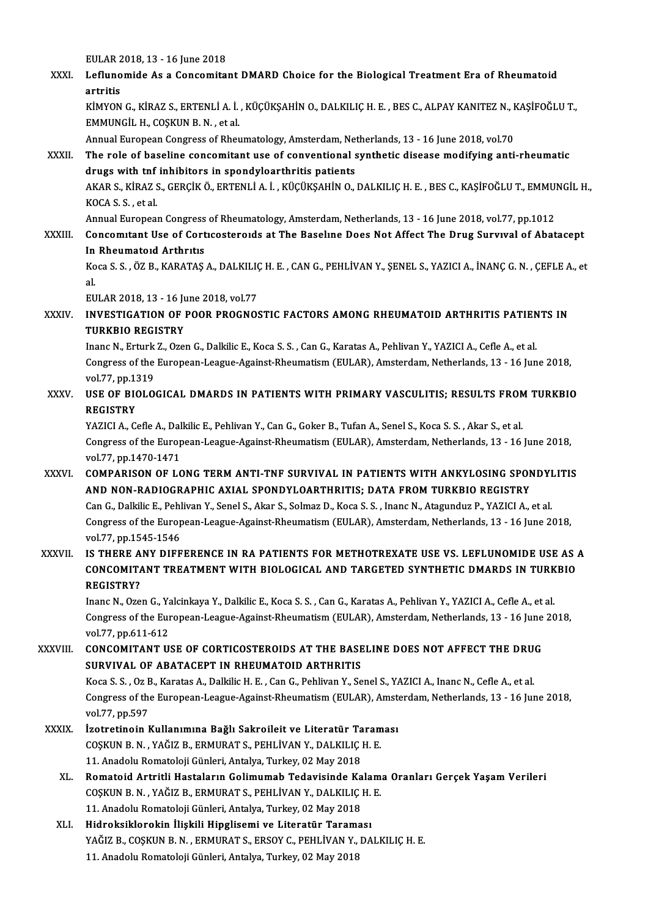EULAR2018,13 -16 June 2018

EULAR 2018, 13 - 16 June 2018<br>XXXI. Leflunomide As a Concomitant DMARD Choice for the Biological Treatment Era of Rheumatoid EULAR 2<br><mark>Lefluno</mark><br>artritis<br><sup>vimvon</sup> Leflunomide As a Concomitant DMARD Choice for the Biological Treatment Era of Rheumatoid<br>artritis<br>KİMYON G., KİRAZ S., ERTENLİ A. İ. , KÜÇÜKŞAHİN O., DALKILIÇ H. E. , BES C., ALPAY KANITEZ N., KAŞİFOĞLU T.,<br>EMMUNCÜ H. COSK

artritis<br>KİMYON G., KİRAZ S., ERTENLİ A. İ.<br>EMMUNGİL H., COŞKUN B. N. , et al.<br>Annual Euronean Congress of Pheu KİMYON G., KİRAZ S., ERTENLİ A. İ. , KÜÇÜKŞAHİN O., DALKILIÇ H. E. , BES C., ALPAY KANITEZ N., I<br>EMMUNGİL H., COŞKUN B. N. , et al.<br>Annual European Congress of Rheumatology, Amsterdam, Netherlands, 13 - 16 June 2018, vol.7

EMMUNGİL H., COŞKUN B. N. , et al.<br>Annual European Congress of Rheumatology, Amsterdam, Netherlands, 13 - 16 June 2018, vol.70<br>XXXII. The role of baseline concomitant use of conventional synthetic disease modifying ant Annual European Congress of Rheumatology, Amsterdam, Net<br>The role of baseline concomitant use of conventional s<br>drugs with tnf inhibitors in spondyloarthritis patients<br>AKARS KERAZS GERCIKÖ ERTENLIA L. KÜCÜKSAHIN O The role of baseline concomitant use of conventional synthetic disease modifying anti-rheumatic<br>drugs with tnf inhibitors in spondyloarthritis patients<br>AKAR S., KİRAZ S., GERÇİK Ö., ERTENLİ A. İ. , KÜÇÜKŞAHİN O., DALKILIÇ drugs with tnf<br>AKAR S., KİRAZ !<br>KOCA S. S. , et al.<br>Annual Eurones AKAR S., KİRAZ S., GERÇİK Ö., ERTENLİ A. İ. , KÜÇÜKŞAHİN O., DALKILIÇ H. E. , BES C., KAŞİFOĞLU T., EMMU!<br>KOCA S. S. , et al.<br>Annual European Congress of Rheumatology, Amsterdam, Netherlands, 13 - 16 June 2018, vol.77, pp.

KOCA S. S. , et al.<br>Annual European Congress of Rheumatology, Amsterdam, Netherlands, 13 - 16 June 2018, vol.77, pp.1012<br>XXXIII. Concomitant Use of Corticosteroids at The Baseline Does Not Affect The Drug Survival of A **Annual European Congress<br>Concomitant Use of Cort<br>In Rheumatoid Arthritis<br>Kosa S.S. ÖZ B. KABATAS** Concomitant Use of Corticosteroids at The Baseline Does Not Affect The Drug Survival of Abatacept<br>In Rheumatoid Arthritis<br>Koca S. S. , ÖZ B., KARATAŞ A., DALKILIÇ H. E. , CAN G., PEHLİVAN Y., ŞENEL S., YAZICI A., İNANÇ G.

In<br>Ko<br>al<br>Eu Koca S. S. , ÖZ B., KARATAŞ A., DALKILIÇ<br>al.<br>EULAR 2018, 13 - 16 June 2018, vol.77<br>INVESTIC ATION OF BOOR BROCNOS

### al.<br>EULAR 2018, 13 - 16 June 2018, vol.77<br>XXXIV. INVESTIGATION OF POOR PROGNOSTIC FACTORS AMONG RHEUMATOID ARTHRITIS PATIENTS IN<br>TURKELO RECISTRY EULAR 2018, 13 - 16 Ju<br>INVESTIGATION OF 1<br>TURKBIO REGISTRY INVESTIGATION OF POOR PROGNOSTIC FACTORS AMONG RHEUMATOID ARTHRITIS PATIEN<br>TURKBIO REGISTRY<br>Inanc N., Erturk Z., Ozen G., Dalkilic E., Koca S. S. , Can G., Karatas A., Pehlivan Y., YAZICI A., Cefle A., et al.<br>Congress of t

TURKBIO REGISTRY<br>Inanc N., Erturk Z., Ozen G., Dalkilic E., Koca S. S. , Can G., Karatas A., Pehlivan Y., YAZICI A., Cefle A., et al.<br>Congress of the European-League-Against-Rheumatism (EULAR), Amsterdam, Netherlands, 13 -Inanc N., Erturk<br>Congress of the<br>vol.77, pp.1319<br>USE OF PIOLO vol 77, pp 1319

## Congress of the European-League-Against-Rheumatism (EULAR), Amsterdam, Netherlands, 13 - 16 June 2018,<br>vol.77, pp.1319<br>XXXV. USE OF BIOLOGICAL DMARDS IN PATIENTS WITH PRIMARY VASCULITIS; RESULTS FROM TURKBIO<br>REGISTRY USE OF BIOLOGICAL DMARDS IN PATIENTS WITH PRIMARY VASCULITIS; RESULTS FROM<br>REGISTRY<br>YAZICI A., Cefle A., Dalkilic E., Pehlivan Y., Can G., Goker B., Tufan A., Senel S., Koca S. S. , Akar S., et al.<br>Congress of the European

REGISTRY<br>YAZICI A., Cefle A., Dalkilic E., Pehlivan Y., Can G., Goker B., Tufan A., Senel S., Koca S. S. , Akar S., et al.<br>Congress of the European-League-Against-Rheumatism (EULAR), Amsterdam, Netherlands, 13 - 16 June 20 YAZICI A., Cefle A., Dal<br>Congress of the Europ<br>vol.77, pp.1470-1471<br>COMBARISON OF LO Congress of the European-League-Against-Rheumatism (EULAR), Amsterdam, Netherlands, 13 - 16 June 2018,<br>vol.77, pp.1470-1471<br>XXXVI. COMPARISON OF LONG TERM ANTI-TNF SURVIVAL IN PATIENTS WITH ANKYLOSING SPONDYLITIS

### vol77, pp.1470-1471<br>COMPARISON OF LONG TERM ANTI-TNF SURVIVAL IN PATIENTS WITH ANKYLOSING SPONDYLITIS<br>AND NON-RADIOGRAPHIC AXIAL SPONDYLOARTHRITIS; DATA FROM TURKBIO REGISTRY COMPARISON OF LONG TERM ANTI-TNF SURVIVAL IN PATIENTS WITH ANKYLOSING SPONDYI<br>AND NON-RADIOGRAPHIC AXIAL SPONDYLOARTHRITIS; DATA FROM TURKBIO REGISTRY<br>Can G., Dalkilic E., Pehlivan Y., Senel S., Akar S., Solmaz D., Koca S. AND NON-RADIOGRAPHIC AXIAL SPONDYLOARTHRITIS; DATA FROM TURKBIO REGISTRY<br>Can G., Dalkilic E., Pehlivan Y., Senel S., Akar S., Solmaz D., Koca S. S. , Inanc N., Atagunduz P., YAZICI A., et al.<br>Congress of the European-Leagu Can G., Dalkilic E., Pehl<br>Congress of the Europ<br>vol.77, pp.1545-1546<br>IS TUEDE ANY DIEE Congress of the European-League-Against-Rheumatism (EULAR), Amsterdam, Netherlands, 13 - 16 June 2018,<br>vol.77, pp.1545-1546<br>XXXVII. IS THERE ANY DIFFERENCE IN RA PATIENTS FOR METHOTREXATE USE VS. LEFLUNOMIDE USE AS A

### vol.77, pp.1545-1546<br>IS THERE ANY DIFFERENCE IN RA PATIENTS FOR METHOTREXATE USE VS. LEFLUNOMIDE USE AS .<br>CONCOMITANT TREATMENT WITH BIOLOGICAL AND TARGETED SYNTHETIC DMARDS IN TURKBIO<br>RECISTRY? IS THERE A<br>CONCOMITA<br>REGISTRY? CONCOMITANT TREATMENT WITH BIOLOGICAL AND TARGETED SYNTHETIC DMARDS IN TURK<br>REGISTRY?<br>Inanc N., Ozen G., Yalcinkaya Y., Dalkilic E., Koca S. S. , Can G., Karatas A., Pehlivan Y., YAZICI A., Cefle A., et al.<br>Congress of the

REGISTRY?<br>Inanc N., Ozen G., Yalcinkaya Y., Dalkilic E., Koca S. S. , Can G., Karatas A., Pehlivan Y., YAZICI A., Cefle A., et al.<br>Congress of the European-League-Against-Rheumatism (EULAR), Amsterdam, Netherlands, 13 - 16 Inanc N., Ozen G., Ya<br>Congress of the Eur<br>vol.77, pp.611-612<br>CONCOMITANT US Congress of the European-League-Against-Rheumatism (EULAR), Amsterdam, Netherlands, 13 - 16 June<br>vol.77, pp.611-612<br>XXXVIII. CONCOMITANT USE OF CORTICOSTEROIDS AT THE BASELINE DOES NOT AFFECT THE DRUG

### vol.77, pp.611-612<br>CONCOMITANT USE OF CORTICOSTEROIDS AT THE BASE<br>SURVIVAL OF ABATACEPT IN RHEUMATOID ARTHRITIS<br>Kosa S.S. Or B. Karatas A. Dalkijs H.E. Can G. Boblivan Y. So CONCOMITANT USE OF CORTICOSTEROIDS AT THE BASELINE DOES NOT AFFECT THE DRUG<br>SURVIVAL OF ABATACEPT IN RHEUMATOID ARTHRITIS<br>Koca S. S. , Oz B., Karatas A., Dalkilic H. E. , Can G., Pehlivan Y., Senel S., YAZICI A., Inanc N., SURVIVAL OF ABATACEPT IN RHEUMATOID ARTHRITIS<br>Koca S. S. , Oz B., Karatas A., Dalkilic H. E. , Can G., Pehlivan Y., Senel S., YAZICI A., Inanc N., Cefle A., et al.<br>Congress of the European-League-Against-Rheumatism (EULAR) Koca S. S. , Oz E<br>Congress of the<br>vol.77, pp.597<br>Izotrotinoin I

- Congress of the European-League-Against-Rheumatism (EULAR), Amstraphyddient control animatism (EULAR), Amstraphyddient XXXIX.<br>XXXIX. Izotretinoin Kullanımına Bağlı Sakroileit ve Literatür Taraması<br>COSKUN P. N. XAĞIZ P. EPM vol.77, pp.597<br>İzotretinoin Kullanımına Bağlı Sakroileit ve Literatür Taram<br>COŞKUN B.N. , YAĞIZ B., ERMURAT S., PEHLİVAN Y., DALKILIÇ H. E.<br>11. Anadely Bemeteleji Günleri, Antalya Turkey, 92 May 2019 İzotretinoin Kullanımına Bağlı Sakroileit ve Literatür Ta<br>COŞKUN B. N. , YAĞIZ B., ERMURAT S., PEHLİVAN Y., DALKILIÇ |<br>11. Anadolu Romatoloji Günleri, Antalya, Turkey, 02 May 2018<br>Bomatoid Artritli Hastaların Colimumab Tad
	- XL. Romatoid Artritli Hastaların Golimumab Tedavisinde Kalama Oranları Gerçek YaşamVerileri COŞKUNB.N. ,YAĞIZB.,ERMURATS.,PEHLİVANY.,DALKILIÇH.E. Romatoid Artritli Hastaların Golimumab Tedavisinde Ka<br>COŞKUN B. N. , YAĞIZ B., ERMURAT S., PEHLİVAN Y., DALKILIÇ |<br>11. Anadolu Romatoloji Günleri, Antalya, Turkey, 02 May 2018<br>Hidroksiklarekin İliakili Hinglisemi ve Litera COŞKUN B. N. , YAĞIZ B., ERMURAT S., PEHLİVAN Y., DALKILIÇ H.<br>11. Anadolu Romatoloji Günleri, Antalya, Turkey, 02 May 2018<br>XLI. Hidroksiklorokin İlişkili Hipglisemi ve Literatür Taraması<br>XAĞIZ B. COSKUN B. N., EDMURAT
	- Hidroksiklorokin İlişkili Hipglisemi ve Literatür Taraması<br>YAĞIZ B., COŞKUN B. N. , ERMURAT S., ERSOY C., PEHLİVAN Y., DALKILIÇ H. E. 11. Anadolu Romatoloji Günleri, Antalya, Turkey, 02 May 2018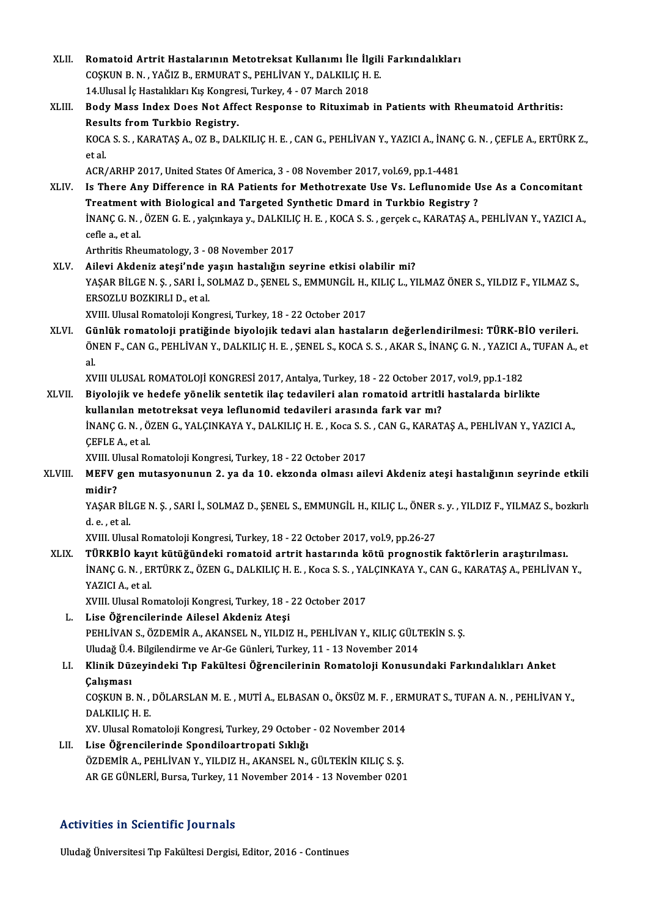Romatoid Artrit Hastalarının Metotreksat Kullanımı İle İlgili<br>COŞKUN B.N., YAĞIZ B., ERMURAT S., PEHLİVAN Y., DALKILIÇ H. E.<br>14 Ulusal İs Hastalliları kıs Kongresi Turkay 4., 07 Marsh 2019 Romatoid Artrit Hastalarının Metotreksat Kullanımı İle İlg<br>COŞKUN B.N., YAĞIZ B., ERMURAT S., PEHLİVAN Y., DALKILIÇ H.<br>14.Ulusal İç Hastalıkları Kış Kongresi, Turkey, 4 - 07 March 2018<br>Body Mass Indoy Doss Nat Affest Bespo COȘKUN B. N. , YAĞIZ B., ERMURAT S., PEHLİVAN Y., DALKILIÇ H. E.<br>14.Ulusal İç Hastalıkları Kış Kongresi, Turkey, 4 - 07 March 2018<br>XLIII. Body Mass Index Does Not Affect Response to Rituximab in Patients with Rheumatoid Ar 14.Ulusal İç Hastalıkları Kış Kongre<br>Body Mass Index Does Not Affe<br>Results from Turkbio Registry.<br>KOCA S.S. KARATAS A. OZ R. DAL Body Mass Index Does Not Affect Response to Rituximab in Patients with Rheumatoid Arthritis:<br>Results from Turkbio Registry.<br>KOCA S. S. , KARATAŞ A., OZ B., DALKILIÇ H. E. , CAN G., PEHLİVAN Y., YAZICI A., İNANÇ G. N. , ÇEF Results from Turkbio Registry.<br>KOCA S. S. , KARATAŞ A., OZ B., DALKILIÇ H. E. , CAN G., PEHLİVAN Y., YAZICI A., İNAN<br>et al.<br>ACR/ARHP 2017, United States Of America, 3 - 08 November 2017, vol.69, pp.1-4481 KOCA S. S. , KARATAŞ A., OZ B., DALKILIÇ H. E. , CAN G., PEHLİVAN Y., YAZICI A., İNANÇ<br>et al.<br>ACR/ARHP 2017, United States Of America, 3 - 08 November 2017, vol.69, pp.1-4481<br>Is There Any Difference in BA Batients for Meth XLIV. Is There Any Difference in RA Patients for Methotrexate Use Vs. Leflunomide Use As a Concomitant ACR/ARHP 2017, United States Of America, 3 - 08 November 2017, vol.69, pp.1-4481<br>Is There Any Difference in RA Patients for Methotrexate Use Vs. Leflunomide U<br>Treatment with Biological and Targeted Synthetic Dmard in Turkb Is There Any Difference in RA Patients for Methotrexate Use Vs. Leflunomide Use As a Concomitant<br>Treatment with Biological and Targeted Synthetic Dmard in Turkbio Registry ?<br>İNANÇ G. N. , ÖZEN G. E. , yalçınkaya y., DALKIL Treatment<br>İNANÇ G. N. ,<br>cefle a., et al.<br>Arthritis Pho INANÇ G. N. , ÖZEN G. E. , yalçınkaya y., DALKILI<br>cefle a., et al.<br>Arthritis Rheumatology, 3 - 08 November 2017<br>Ailoui Akdoniz atosi'ndə yasın bəstəliğin se cefle a., et al.<br>Arthritis Rheumatology, 3 - 08 November 2017<br>XLV. Ailevi Akdeniz ateşi'nde yaşın hastalığın seyrine etkisi olabilir mi?<br>XASAR PİLCEN S. SARLİ, SOLMAZ D. SENEL S. FMMINCİL H. KUJCL, VI Arthritis Rheumatology, 3 - 08 November 2017<br>Ailevi Akdeniz ateşi'nde yaşın hastalığın seyrine etkisi olabilir mi?<br>YAŞAR BİLGE N. Ş. , SARI İ., SOLMAZ D., ŞENEL S., EMMUNGİL H., KILIÇ L., YILMAZ ÖNER S., YILDIZ F., YILMAZ Ailevi Akdeniz ateşi'nde y<br>YAŞAR BİLGE N. Ş. , SARI İ., S<br>ERSOZLU BOZKIRLI D., et al.<br>YVIII Illusal Bamatalaji Kan YAŞAR BİLGE N. Ş. , SARI İ., SOLMAZ D., ŞENEL S., EMMUNGİL H.,<br>ERSOZLU BOZKIRLI D., et al.<br>XVIII. Ulusal Romatoloji Kongresi, Turkey, 18 - 22 October 2017<br>Cünlük romatoloji pratižinde biyelejik tedevi alan bastal ERSOZLU BOZKIRLI D., et al.<br>XVIII. Ulusal Romatoloji Kongresi, Turkey, 18 - 22 October 2017<br>XLVI. Günlük romatoloji pratiğinde biyolojik tedavi alan hastaların değerlendirilmesi: TÜRK-BİO verileri. XVIII. Ulusal Romatoloji Kongresi, Turkey, 18 - 22 October 2017<br>Günlük romatoloji pratiğinde biyolojik tedavi alan hastaların değerlendirilmesi: TÜRK-BİO verileri.<br>ÖNEN F., CAN G., PEHLİVAN Y., DALKILIÇ H. E. , ŞENEL S., K Gü<br>ÖN<br>al. ÖNEN F., CAN G., PEHLİVAN Y., DALKILIÇ H. E. , ŞENEL S., KOCA S. S. , AKAR S., İNANÇ G. N. , YAZICI A<br>al.<br>XVIII ULUSAL ROMATOLOJİ KONGRESİ 2017, Antalya, Turkey, 18 - 22 October 2017, vol.9, pp.1-182<br>Biyolojik ve badafe vö al.<br>XVIII ULUSAL ROMATOLOJİ KONGRESİ 2017, Antalya, Turkey, 18 - 22 October 2017, vol.9, pp.1-182<br>XLVII. Biyolojik ve hedefe yönelik sentetik ilaç tedavileri alan romatoid artritli hastalarda birlikte XVIII ULUSAL ROMATOLOJİ KONGRESİ 2017, Antalya, Turkey, 18 - 22 October 2013<br>Biyolojik ve hedefe yönelik sentetik ilaç tedavileri alan romatoid artritli<br>kullanılan metotreksat veya leflunomid tedavileri arasında fark var m Biyolojik ve hedefe yönelik sentetik ilaç tedavileri alan romatoid artritli hastalarda birlikte<br>kullanılan metotreksat veya leflunomid tedavileri arasında fark var mı?<br>İNANÇ G. N. , ÖZEN G., YALÇINKAYA Y., DALKILIÇ H. E. , kullanılan me<br>İNANÇ G. N. , Ö.<br>ÇEFLE A., et al.<br>YVIII. Ulusal Be İNANÇ G. N. , ÖZEN G., YALÇINKAYA Y., DALKILIÇ H. E. , Koca S. S.<br>ÇEFLE A., et al.<br>XVIII. Ulusal Romatoloji Kongresi, Turkey, 18 - 22 October 2017<br>MEEV gen mutasyonunun 2. ya da 10. akronda alması all ÇEFLE A., et al.<br>XVIII. Ulusal Romatoloji Kongresi, Turkey, 18 - 22 October 2017<br>XLVIII. MEFV gen mutasyonunun 2. ya da 10. ekzonda olması ailevi Akdeniz ateşi hastalığının seyrinde etkili XVIII. U<mark>l</mark><br>MEFV<br>midir?<br><sup>VASAR</sup> MEFV gen mutasyonunun 2. ya da 10. ekzonda olması ailevi Akdeniz ateşi hastalığının seyrinde etkili<br>midir?<br>YAŞAR BİLGE N. Ş. , SARI İ., SOLMAZ D., ŞENEL S., EMMUNGİL H., KILIÇ L., ÖNER s. y. , YILDIZ F., YILMAZ S., bozkırl midir?<br>YAŞAR BİL<br>d. e. , et al.<br>YVIII. Uluc YAŞAR BİLGE N. Ş. , SARI İ., SOLMAZ D., ŞENEL S., EMMUNGİL H., KILIÇ L., ÖNER :<br>d. e. , et al.<br>XVIII. Ulusal Romatoloji Kongresi, Turkey, 18 - 22 October 2017, vol.9, pp.26-27<br>Tüpketo kovu kütüğündeki romatoid ertrit beste d. e. , et al.<br>XVIII. Ulusal Romatoloji Kongresi, Turkey, 18 - 22 October 2017, vol.9, pp.26-27<br>XLIX. TÜRKBİO kayıt kütüğündeki romatoid artrit hastarında kötü prognostik faktörlerin araştırılması.<br>İNANC C. N. ERTÜRK 7 XVIII. Ulusal Romatoloji Kongresi, Turkey, 18 - 22 October 2017, vol.9, pp.26-27<br><mark>TÜRKBİO kayıt kütüğündeki romatoid artrit hastarında kötü prognostik faktörlerin araştırılması.</mark><br>İNANÇ G. N. , ERTÜRK Z., ÖZEN G., DALKILIÇ <mark>TÜRKBİO kay</mark>ı<br>İNANÇ G. N. , EI<br>YAZICI A., et al.<br>XVIII. Ulusel Bo İNANÇ G. N. , ERTÜRK Z., ÖZEN G., DALKILIÇ H. E. , Koca S. S. , YA<br>YAZICI A., et al.<br>XVIII. Ulusal Romatoloji Kongresi, Turkey, 18 - 22 October 2017<br>Lise Öğrengilerinde Ailesel Akdeniz Atesi YAZICI A., et al.<br>XVIII. Ulusal Romatoloji Kongresi, Turkey, 18 - 22 October 2017<br>L. Lise Öğrencilerinde Ailesel Akdeniz Ateşi PEHLİVAN S., ÖZDEMİR A., AKANSEL N., YILDIZ H., PEHLİVAN Y., KILIÇ GÜLTEKİN S. Ş. Lise Öğrencilerinde Ailesel Akdeniz Ateşi<br>PEHLİVAN S., ÖZDEMİR A., AKANSEL N., YILDIZ H., PEHLİVAN Y., KILIÇ GÜLT<br>Uludağ Ü.4. Bilgilendirme ve Ar-Ge Günleri, Turkey, 11 - 13 November 2014<br>Klinik Düzeyindeki Tın Fekültesi Ö LI. Klinik Düzeyindeki Tıp Fakültesi Öğrencilerinin Romatoloji Konusundaki Farkındalıkları Anket Uludağ Ü.4<br>Klinik Dü:<br>Çalışması<br>COSKUN P Klinik Düzeyindeki Tıp Fakültesi Öğrencilerinin Romatoloji Konusundaki Farkındalıkları Anket<br>Çalışması<br>COŞKUN B. N. , DÖLARSLAN M. E. , MUTİ A., ELBASAN O., ÖKSÜZ M. F. , ERMURAT S., TUFAN A. N. , PEHLİVAN Y.,<br>DALKU IC H. Çalışması<br>COŞKUN B. N. ,<br>DALKILIÇ H. E.<br>YV. Ulusal Bom COŞKUN B. N. , DÖLARSLAN M. E. , MUTİ A., ELBASAN O., ÖKSÜZ M. F. , ERI<br>DALKILIÇ H. E.<br>XV. Ulusal Romatoloji Kongresi, Turkey, 29 October - 02 November 2014<br>Lise Öğrensilerinde Spendilesrtreneti Sıklığı DALKILIÇ H. E.<br>XV. Ulusal Romatoloji Kongresi, Turkey, 29 October - 02 November 2014<br>LII. Lise Öğrencilerinde Spondiloartropati Sıklığı<br>ÖZDEMİR A., PEHLİVAN Y., YILDIZ H., AKANSEL N., GÜLTEKİN KILIÇ S. Ş. XV. Ulusal Romatoloji Kongresi, Turkey, 29 October - 02 November 2014 ARGEGÜNLERİ,Bursa,Turkey,11November 2014 -13November 0201

XLII. Romatoid Artrit Hastalarının Metotreksat Kullanımı İle İlgili Farkındalıkları

### Activities in Scientific Journals

Uludağ Üniversitesi Tıp Fakültesi Dergisi, Editor, 2016 - Continues